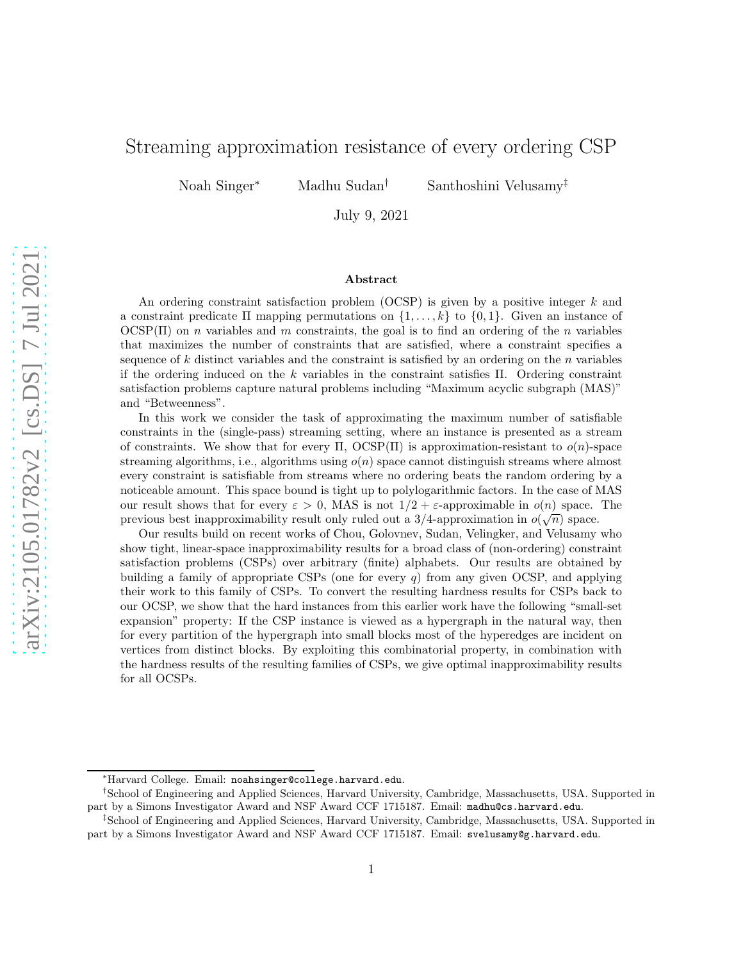# Streaming approximation resistance of every ordering CSP

Noah Singer<sup>∗</sup> Madhu Sudan† Santhoshini Velusamy‡

July 9, 2021

## Abstract

An ordering constraint satisfaction problem (OCSP) is given by a positive integer  $k$  and a constraint predicate  $\Pi$  mapping permutations on  $\{1, \ldots, k\}$  to  $\{0, 1\}$ . Given an instance of  $OCSP(\Pi)$  on *n* variables and *m* constraints, the goal is to find an ordering of the *n* variables that maximizes the number of constraints that are satisfied, where a constraint specifies a sequence of  $k$  distinct variables and the constraint is satisfied by an ordering on the  $n$  variables if the ordering induced on the  $k$  variables in the constraint satisfies  $\Pi$ . Ordering constraint satisfaction problems capture natural problems including "Maximum acyclic subgraph (MAS)" and "Betweenness".

In this work we consider the task of approximating the maximum number of satisfiable constraints in the (single-pass) streaming setting, where an instance is presented as a stream of constraints. We show that for every  $\Pi$ ,  $OCSP(\Pi)$  is approximation-resistant to  $o(n)$ -space streaming algorithms, i.e., algorithms using  $o(n)$  space cannot distinguish streams where almost every constraint is satisfiable from streams where no ordering beats the random ordering by a noticeable amount. This space bound is tight up to polylogarithmic factors. In the case of MAS our result shows that for every  $\varepsilon > 0$ , MAS is not  $1/2 + \varepsilon$ -approximable in  $o(n)$  space. The previous best inapproximability result only ruled out a 3/4-approximation in  $o(\sqrt{n})$  space.

Our results build on recent works of Chou, Golovnev, Sudan, Velingker, and Velusamy who show tight, linear-space inapproximability results for a broad class of (non-ordering) constraint satisfaction problems (CSPs) over arbitrary (finite) alphabets. Our results are obtained by building a family of appropriate CSPs (one for every  $q$ ) from any given OCSP, and applying their work to this family of CSPs. To convert the resulting hardness results for CSPs back to our OCSP, we show that the hard instances from this earlier work have the following "small-set expansion" property: If the CSP instance is viewed as a hypergraph in the natural way, then for every partition of the hypergraph into small blocks most of the hyperedges are incident on vertices from distinct blocks. By exploiting this combinatorial property, in combination with the hardness results of the resulting families of CSPs, we give optimal inapproximability results for all OCSPs.

<sup>∗</sup>Harvard College. Email: noahsinger@college.harvard.edu.

<sup>†</sup> School of Engineering and Applied Sciences, Harvard University, Cambridge, Massachusetts, USA. Supported in part by a Simons Investigator Award and NSF Award CCF 1715187. Email: madhu@cs.harvard.edu.

<sup>‡</sup> School of Engineering and Applied Sciences, Harvard University, Cambridge, Massachusetts, USA. Supported in part by a Simons Investigator Award and NSF Award CCF 1715187. Email: svelusamy@g.harvard.edu.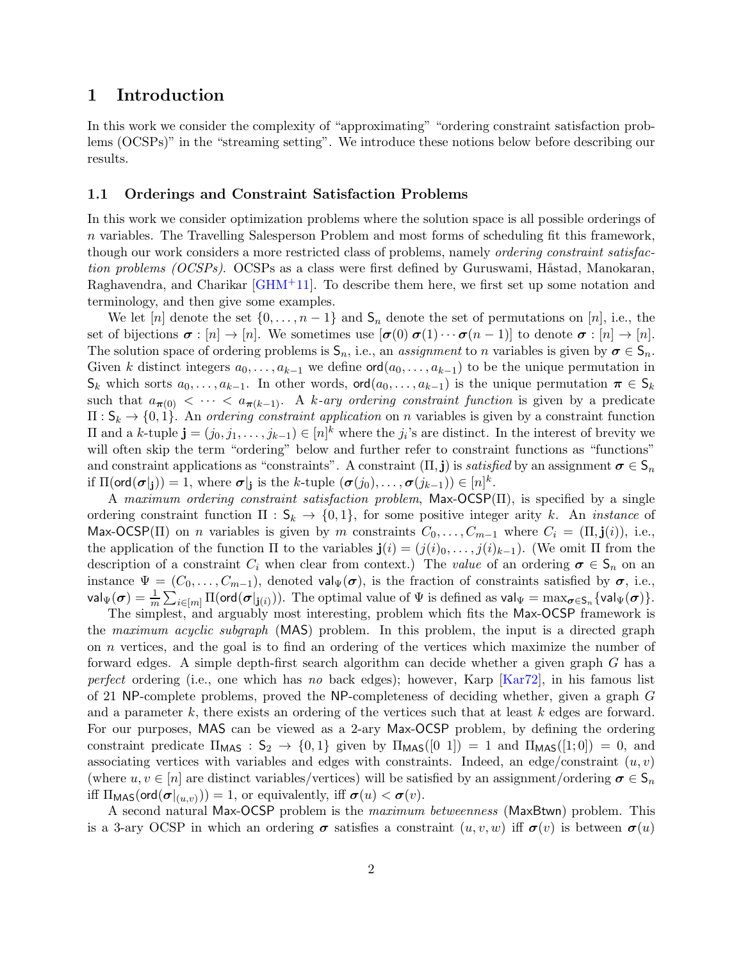# 1 Introduction

In this work we consider the complexity of "approximating" "ordering constraint satisfaction problems (OCSPs)" in the "streaming setting". We introduce these notions below before describing our results.

# <span id="page-1-0"></span>1.1 Orderings and Constraint Satisfaction Problems

In this work we consider optimization problems where the solution space is all possible orderings of n variables. The Travelling Salesperson Problem and most forms of scheduling fit this framework, though our work considers a more restricted class of problems, namely ordering constraint satisfaction problems  $(OCSPs)$ .  $OCSPs$  as a class were first defined by Guruswami, Håstad, Manokaran, Raghavendra, and Charikar [\[GHM](#page-21-0)+11]. To describe them here, we first set up some notation and terminology, and then give some examples.

We let  $[n]$  denote the set  $\{0, \ldots, n-1\}$  and  $S_n$  denote the set of permutations on  $[n]$ , i.e., the set of bijections  $\sigma : [n] \to [n]$ . We sometimes use  $[\sigma(0) \sigma(1) \cdots \sigma(n-1)]$  to denote  $\sigma : [n] \to [n]$ . The solution space of ordering problems is  $S_n$ , i.e., an *assignment* to *n* variables is given by  $\sigma \in S_n$ . Given k distinct integers  $a_0, \ldots, a_{k-1}$  we define  $\text{ord}(a_0, \ldots, a_{k-1})$  to be the unique permutation in  $\mathsf{S}_k$  which sorts  $a_0, \ldots, a_{k-1}$ . In other words, ord $(a_0, \ldots, a_{k-1})$  is the unique permutation  $\pi \in \mathsf{S}_k$ such that  $a_{\pi(0)} < \cdots < a_{\pi(k-1)}$ . A k-ary ordering constraint function is given by a predicate  $\Pi: \mathsf{S}_k \to \{0,1\}$ . An ordering constraint application on n variables is given by a constraint function  $\Pi$  and a k-tuple **j** =  $(j_0, j_1, \ldots, j_{k-1})$  ∈  $[n]^k$  where the  $j_i$ 's are distinct. In the interest of brevity we will often skip the term "ordering" below and further refer to constraint functions as "functions" and constraint applications as "constraints". A constraint  $(\Pi, \mathbf{j})$  is satisfied by an assignment  $\sigma \in \mathsf{S}_n$ if  $\Pi(\text{ord}(\sigma|_{\mathbf{j}})) = 1$ , where  $\sigma|_{\mathbf{j}}$  is the k-tuple  $(\sigma(j_0), \ldots, \sigma(j_{k-1})) \in [n]^k$ .

A maximum ordering constraint satisfaction problem, Max-OCSP(Π), is specified by a single ordering constraint function  $\Pi : S_k \to \{0,1\}$ , for some positive integer arity k. An *instance* of Max-OCSP(II) on *n* variables is given by *m* constraints  $C_0, \ldots, C_{m-1}$  where  $C_i = (\Pi, \mathbf{j}(i))$ , i.e., the application of the function  $\Pi$  to the variables  $\mathbf{j}(i) = (j(i)_0, \ldots, j(i)_{k-1})$ . (We omit  $\Pi$  from the description of a constraint  $C_i$  when clear from context.) The value of an ordering  $\sigma \in S_n$  on an instance  $\Psi = (C_0, \ldots, C_{m-1})$ , denoted val $\Psi(\sigma)$ , is the fraction of constraints satisfied by  $\sigma$ , i.e.,  $\mathsf{val}_\Psi(\bm{\sigma}) = \frac{1}{m} \sum_{i \in [m]} \Pi(\mathsf{ord}(\bm{\sigma}|_{\mathbf{j}(i)})).$  The optimal value of  $\Psi$  is defined as  $\mathsf{val}_\Psi = \max_{\bm{\sigma} \in \mathsf{S}_n} \{\mathsf{val}_\Psi(\bm{\sigma})\}.$ 

The simplest, and arguably most interesting, problem which fits the Max-OCSP framework is the maximum acyclic subgraph (MAS) problem. In this problem, the input is a directed graph on n vertices, and the goal is to find an ordering of the vertices which maximize the number of forward edges. A simple depth-first search algorithm can decide whether a given graph G has a perfect ordering (i.e., one which has no back edges); however, Karp  $[Kar72]$ , in his famous list of 21 NP-complete problems, proved the NP-completeness of deciding whether, given a graph G and a parameter  $k$ , there exists an ordering of the vertices such that at least  $k$  edges are forward. For our purposes, MAS can be viewed as a 2-ary Max-OCSP problem, by defining the ordering constraint predicate  $\Pi_{\text{MAS}} : S_2 \to \{0, 1\}$  given by  $\Pi_{\text{MAS}}([0 1]) = 1$  and  $\Pi_{\text{MAS}}([1; 0]) = 0$ , and associating vertices with variables and edges with constraints. Indeed, an edge/constraint  $(u, v)$ (where  $u, v \in [n]$  are distinct variables/vertices) will be satisfied by an assignment/ordering  $\sigma \in S_n$ iff  $\Pi_{\text{MAS}}(\text{ord}(\sigma|_{(u,v)})) = 1$ , or equivalently, iff  $\sigma(u) < \sigma(v)$ .

A second natural Max-OCSP problem is the maximum betweenness (MaxBtwn) problem. This is a 3-ary OCSP in which an ordering  $\sigma$  satisfies a constraint  $(u, v, w)$  iff  $\sigma(v)$  is between  $\sigma(u)$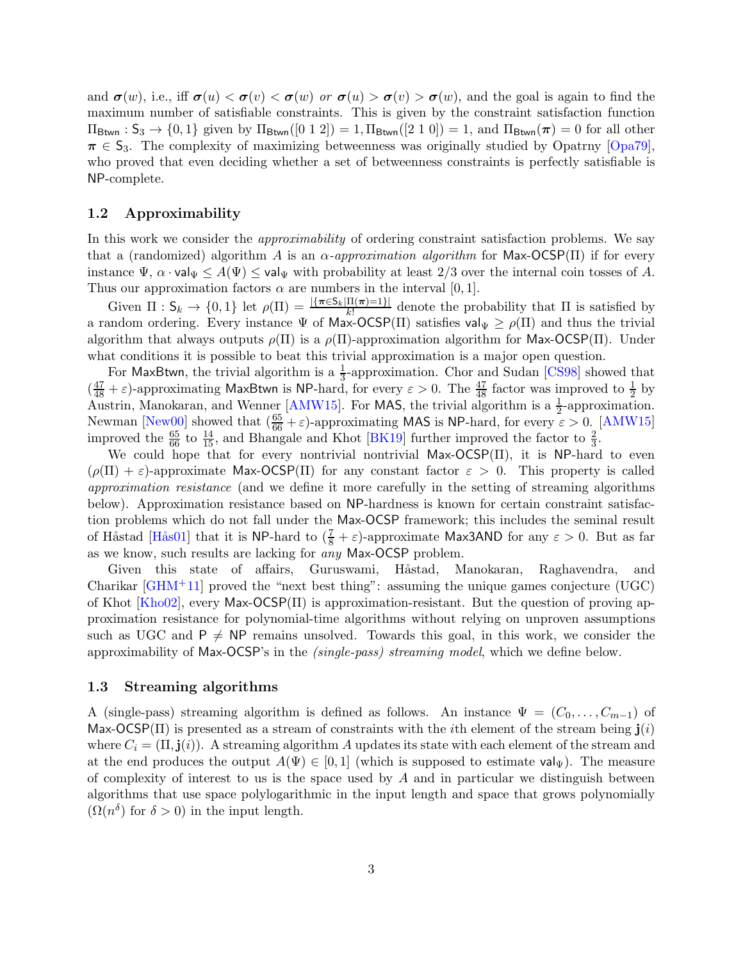and  $\sigma(w)$ , i.e., iff  $\sigma(u) < \sigma(v) < \sigma(w)$  or  $\sigma(u) > \sigma(v) > \sigma(w)$ , and the goal is again to find the maximum number of satisfiable constraints. This is given by the constraint satisfaction function  $\Pi_{\text{Btwn}}$ :  $S_3 \rightarrow \{0,1\}$  given by  $\Pi_{\text{Btwn}}([0 1 2]) = 1, \Pi_{\text{Btwn}}([2 1 0]) = 1$ , and  $\Pi_{\text{Btwn}}(\pi) = 0$  for all other  $\pi \in S_3$ . The complexity of maximizing betweenness was originally studied by Opatrny [\[Opa79\]](#page-22-0), who proved that even deciding whether a set of betweenness constraints is perfectly satisfiable is NP-complete.

# 1.2 Approximability

In this work we consider the *approximability* of ordering constraint satisfaction problems. We say that a (randomized) algorithm A is an  $\alpha$ -approximation algorithm for Max-OCSP( $\Pi$ ) if for every instance  $\Psi$ ,  $\alpha \cdot \text{val}_{\Psi} \leq A(\Psi) \leq \text{val}_{\Psi}$  with probability at least 2/3 over the internal coin tosses of A. Thus our approximation factors  $\alpha$  are numbers in the interval [0, 1].

Given  $\Pi: \mathsf{S}_k \to \{0,1\}$  let  $\rho(\Pi) = \frac{|\{\pi \in \mathsf{S}_k | \Pi(\pi)=1\}|}{k!}$  denote the probability that  $\Pi$  is satisfied by a random ordering. Every instance  $\Psi$  of Max-OCSP(II) satisfies  $\text{val}_{\Psi} \geq \rho(\Pi)$  and thus the trivial algorithm that always outputs  $\rho(\Pi)$  is a  $\rho(\Pi)$ -approximation algorithm for Max-OCSP(II). Under what conditions it is possible to beat this trivial approximation is a major open question.

For MaxBtwn, the trivial algorithm is a  $\frac{1}{3}$ -approximation. Chor and Sudan [\[CS98\]](#page-21-2) showed that  $(\frac{47}{48} + \varepsilon)$ -approximating MaxBtwn is NP-hard, for every  $\varepsilon > 0$ . The  $\frac{47}{48}$  factor was improved to  $\frac{1}{2}$  by Austrin, Manokaran, and Wenner [\[AMW15\]](#page-20-0). For MAS, the trivial algorithm is a  $\frac{1}{2}$ -approximation. Newman [\[New00\]](#page-22-1) showed that  $(\frac{65}{66} + \varepsilon)$ -approximating MAS is NP-hard, for every  $\varepsilon > 0$ . [\[AMW15\]](#page-20-0) improved the  $\frac{65}{66}$  to  $\frac{14}{15}$ , and Bhangale and Khot [\[BK19\]](#page-20-1) further improved the factor to  $\frac{2}{3}$ .

We could hope that for every nontrivial nontrivial Max- $OCSP(\Pi)$ , it is NP-hard to even  $(\rho(\Pi) + \varepsilon)$ -approximate Max-OCSP( $\Pi$ ) for any constant factor  $\varepsilon > 0$ . This property is called approximation resistance (and we define it more carefully in the setting of streaming algorithms below). Approximation resistance based on NP-hardness is known for certain constraint satisfaction problems which do not fall under the Max-OCSP framework; this includes the seminal result of Håstad [Hås01] that it is NP-hard to  $(\frac{7}{8} + \varepsilon)$ -approximate Max3AND for any  $\varepsilon > 0$ . But as far as we know, such results are lacking for any Max-OCSP problem.

Given this state of affairs, Guruswami, Håstad, Manokaran, Raghavendra, and Charikar  $\left[\text{GHM}^+11\right]$  proved the "next best thing": assuming the unique games conjecture (UGC) of Khot [\[Kho02\]](#page-21-4), every Max-OCSP( $\Pi$ ) is approximation-resistant. But the question of proving approximation resistance for polynomial-time algorithms without relying on unproven assumptions such as UGC and  $P \neq NP$  remains unsolved. Towards this goal, in this work, we consider the approximability of Max-OCSP's in the (single-pass) streaming model, which we define below.

# 1.3 Streaming algorithms

A (single-pass) streaming algorithm is defined as follows. An instance  $\Psi = (C_0, \ldots, C_{m-1})$  of Max-OCSP(II) is presented as a stream of constraints with the *i*th element of the stream being  $\mathbf{j}(i)$ where  $C_i = (\Pi, \mathbf{j}(i))$ . A streaming algorithm A updates its state with each element of the stream and at the end produces the output  $A(\Psi) \in [0,1]$  (which is supposed to estimate val<sub>W</sub>). The measure of complexity of interest to us is the space used by  $A$  and in particular we distinguish between algorithms that use space polylogarithmic in the input length and space that grows polynomially  $(\Omega(n^{\delta})$  for  $\delta > 0)$  in the input length.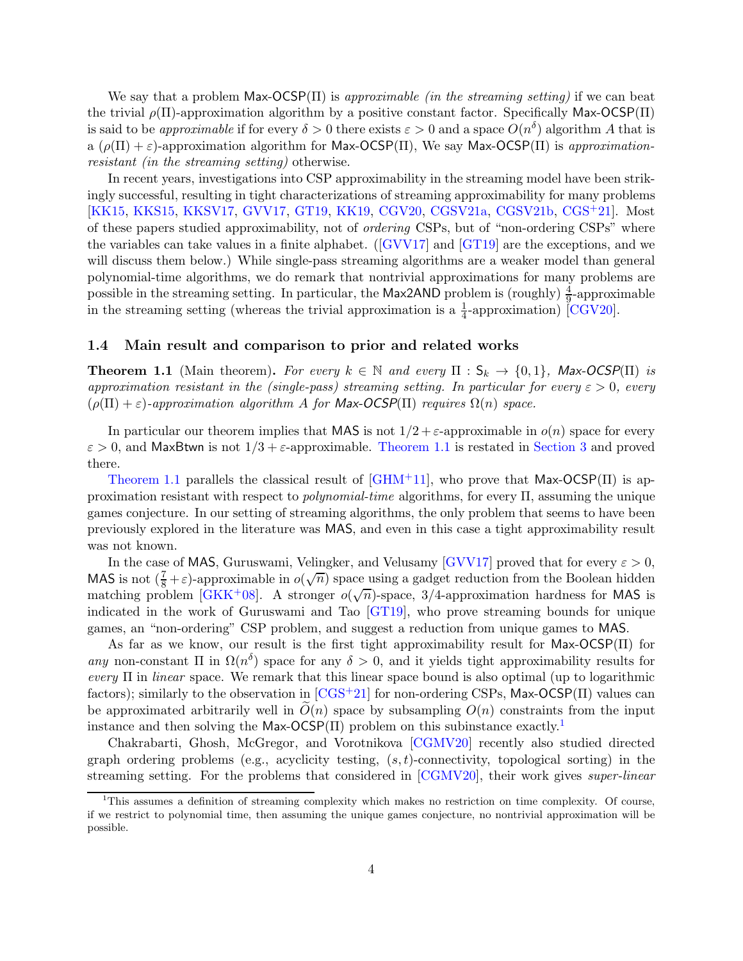We say that a problem  $Max-OCSP(\Pi)$  is approximable (in the streaming setting) if we can beat the trivial  $\rho(\Pi)$ -approximation algorithm by a positive constant factor. Specifically Max-OCSP( $\Pi$ ) is said to be *approximable* if for every  $\delta > 0$  there exists  $\varepsilon > 0$  and a space  $O(n^{\delta})$  algorithm A that is a  $(\rho(\Pi) + \varepsilon)$ -approximation algorithm for Max-OCSP(Π), We say Max-OCSP(Π) is approximationresistant (in the streaming setting) otherwise.

In recent years, investigations into CSP approximability in the streaming model have been strikingly successful, resulting in tight characterizations of streaming approximability for many problems [\[KK15,](#page-21-5) [KKS15,](#page-22-2) [KKSV17,](#page-22-3) [GVV17,](#page-21-6) [GT19,](#page-21-7) [KK19,](#page-21-8) [CGV20,](#page-20-2) [CGSV21a,](#page-20-3) [CGSV21b,](#page-20-4) [CGS](#page-20-5)+21]. Most of these papers studied approximability, not of ordering CSPs, but of "non-ordering CSPs" where the variables can take values in a finite alphabet.([\[GVV17\]](#page-21-6) and [\[GT19\]](#page-21-7) are the exceptions, and we will discuss them below.) While single-pass streaming algorithms are a weaker model than general polynomial-time algorithms, we do remark that nontrivial approximations for many problems are possible in the streaming setting. In particular, the Max2AND problem is (roughly)  $\frac{4}{9}$ -approximable in the streaming setting (whereas the trivial approximation is a  $\frac{1}{4}$ -approximation) [\[CGV20\]](#page-20-2).

### 1.4 Main result and comparison to prior and related works

<span id="page-3-0"></span>**Theorem 1.1** (Main theorem). For every  $k \in \mathbb{N}$  and every  $\Pi : S_k \to \{0,1\}$ , Max-OCSP( $\Pi$ ) is approximation resistant in the (single-pass) streaming setting. In particular for every  $\varepsilon > 0$ , every  $(\rho(\Pi) + \varepsilon)$ -approximation algorithm A for Max-OCSP( $\Pi$ ) requires  $\Omega(n)$  space.

In particular our theorem implies that MAS is not  $1/2 + \varepsilon$ -approximable in  $o(n)$  space for every  $\varepsilon > 0$ , and MaxBtwn is not  $1/3 + \varepsilon$ -approximable. [Theorem 1.1](#page-3-0) is restated in [Section 3](#page-8-0) and proved there.

[Theorem 1.1](#page-3-0) parallels the classical result of  $\lbrack \text{GHM}^+11 \rbrack$ , who prove that Max-OCSP(II) is approximation resistant with respect to *polynomial-time* algorithms, for every  $\Pi$ , assuming the unique games conjecture. In our setting of streaming algorithms, the only problem that seems to have been previously explored in the literature was MAS, and even in this case a tight approximability result was not known.

In the case of MAS, Guruswami, Velingker, and Velusamy [\[GVV17\]](#page-21-6) proved that for every  $\varepsilon > 0$ , MAS is not  $(\frac{7}{8} + \varepsilon)$ -approximable in  $o(\sqrt{n})$  space using a gadget reduction from the Boolean hidden matching problem [\[GKK](#page-21-9)+08]. A stronger  $o(\sqrt{n})$ -space, 3/4-approximation hardness for MAS is indicated in the work of Guruswami and Tao [\[GT19\]](#page-21-7), who prove streaming bounds for unique games, an "non-ordering" CSP problem, and suggest a reduction from unique games to MAS.

As far as we know, our result is the first tight approximability result for Max-OCSP(Π) for any non-constant  $\Pi$  in  $\Omega(n^{\delta})$  space for any  $\delta > 0$ , and it yields tight approximability results for every  $\Pi$  in linear space. We remark that this linear space bound is also optimal (up to logarithmic factors); similarly to the observation in  $[CGS+21]$  for non-ordering CSPs, Max-OCSP( $\Pi$ ) values can be approximated arbitrarily well in  $O(n)$  space by subsampling  $O(n)$  constraints from the input instance and then solving the Max-OCSP $(\Pi)$  problem on this subinstance exactly.<sup>[1](#page-3-1)</sup>

Chakrabarti, Ghosh, McGregor, and Vorotnikova [\[CGMV20\]](#page-20-6) recently also studied directed graph ordering problems (e.g., acyclicity testing,  $(s, t)$ -connectivity, topological sorting) in the streaming setting. For the problems that considered in [\[CGMV20\]](#page-20-6), their work gives super-linear

<span id="page-3-1"></span><sup>&</sup>lt;sup>1</sup>This assumes a definition of streaming complexity which makes no restriction on time complexity. Of course, if we restrict to polynomial time, then assuming the unique games conjecture, no nontrivial approximation will be possible.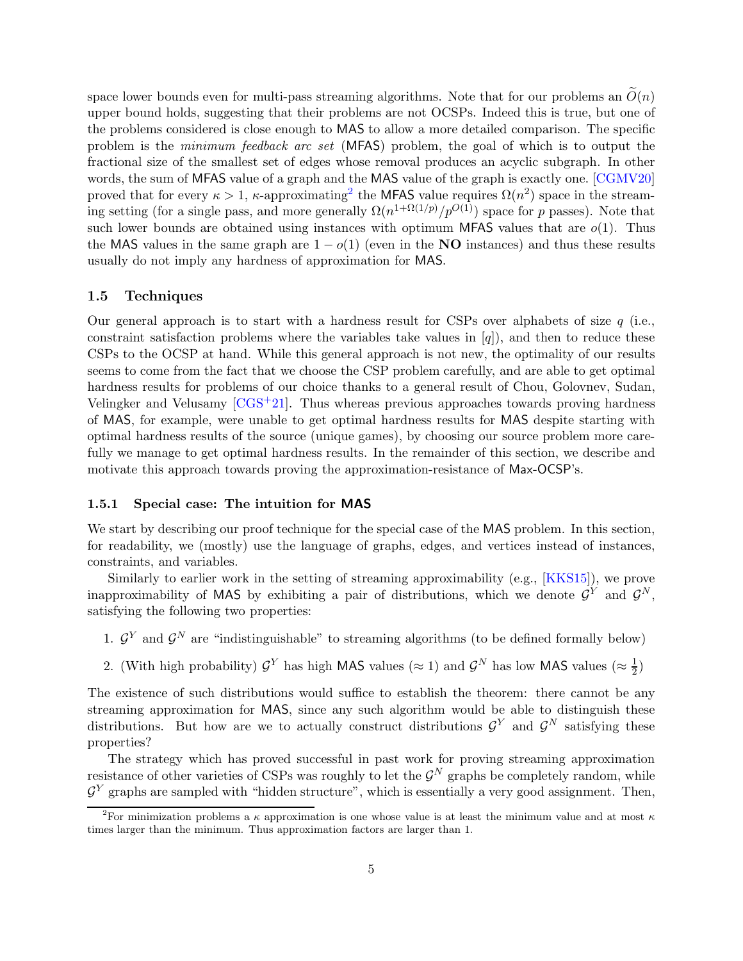space lower bounds even for multi-pass streaming algorithms. Note that for our problems an  $\tilde{O}(n)$ upper bound holds, suggesting that their problems are not OCSPs. Indeed this is true, but one of the problems considered is close enough to MAS to allow a more detailed comparison. The specific problem is the minimum feedback arc set (MFAS) problem, the goal of which is to output the fractional size of the smallest set of edges whose removal produces an acyclic subgraph. In other words, the sum of MFAS value of a graph and the MAS value of the graph is exactly one. [\[CGMV20\]](#page-20-6) proved that for every  $\kappa > 1$ ,  $\kappa$ -approximating<sup>[2](#page-4-0)</sup> the MFAS value requires  $\Omega(n^2)$  space in the streaming setting (for a single pass, and more generally  $\Omega(n^{1+\Omega(1/p)}/p^{O(1)})$  space for p passes). Note that such lower bounds are obtained using instances with optimum MFAS values that are  $o(1)$ . Thus the MAS values in the same graph are  $1 - o(1)$  (even in the NO instances) and thus these results usually do not imply any hardness of approximation for MAS.

### 1.5 Techniques

Our general approach is to start with a hardness result for CSPs over alphabets of size  $q$  (i.e., constraint satisfaction problems where the variables take values in  $[q]$ ), and then to reduce these CSPs to the OCSP at hand. While this general approach is not new, the optimality of our results seems to come from the fact that we choose the CSP problem carefully, and are able to get optimal hardness results for problems of our choice thanks to a general result of Chou, Golovnev, Sudan, Velingker and Velusamy  $[CGS^+21]$ . Thus whereas previous approaches towards proving hardness of MAS, for example, were unable to get optimal hardness results for MAS despite starting with optimal hardness results of the source (unique games), by choosing our source problem more carefully we manage to get optimal hardness results. In the remainder of this section, we describe and motivate this approach towards proving the approximation-resistance of Max-OCSP's.

## 1.5.1 Special case: The intuition for MAS

We start by describing our proof technique for the special case of the MAS problem. In this section, for readability, we (mostly) use the language of graphs, edges, and vertices instead of instances, constraints, and variables.

Similarly to earlier work in the setting of streaming approximability (e.g., [\[KKS15\]](#page-22-2)), we prove inapproximability of MAS by exhibiting a pair of distributions, which we denote  $\mathcal{G}^Y$  and  $\mathcal{G}^N$ , satisfying the following two properties:

- 1.  $\mathcal{G}^Y$  and  $\mathcal{G}^N$  are "indistinguishable" to streaming algorithms (to be defined formally below)
- 2. (With high probability)  $\mathcal{G}^Y$  has high MAS values ( $\approx 1$ ) and  $\mathcal{G}^N$  has low MAS values ( $\approx \frac{1}{2}$ )  $\frac{1}{2})$

The existence of such distributions would suffice to establish the theorem: there cannot be any streaming approximation for MAS, since any such algorithm would be able to distinguish these distributions. But how are we to actually construct distributions  $\mathcal{G}^Y$  and  $\mathcal{G}^N$  satisfying these properties?

The strategy which has proved successful in past work for proving streaming approximation resistance of other varieties of CSPs was roughly to let the  $\mathcal{G}^N$  graphs be completely random, while  $\mathcal{G}^Y$  graphs are sampled with "hidden structure", which is essentially a very good assignment. Then,

<span id="page-4-0"></span><sup>&</sup>lt;sup>2</sup>For minimization problems a  $\kappa$  approximation is one whose value is at least the minimum value and at most  $\kappa$ times larger than the minimum. Thus approximation factors are larger than 1.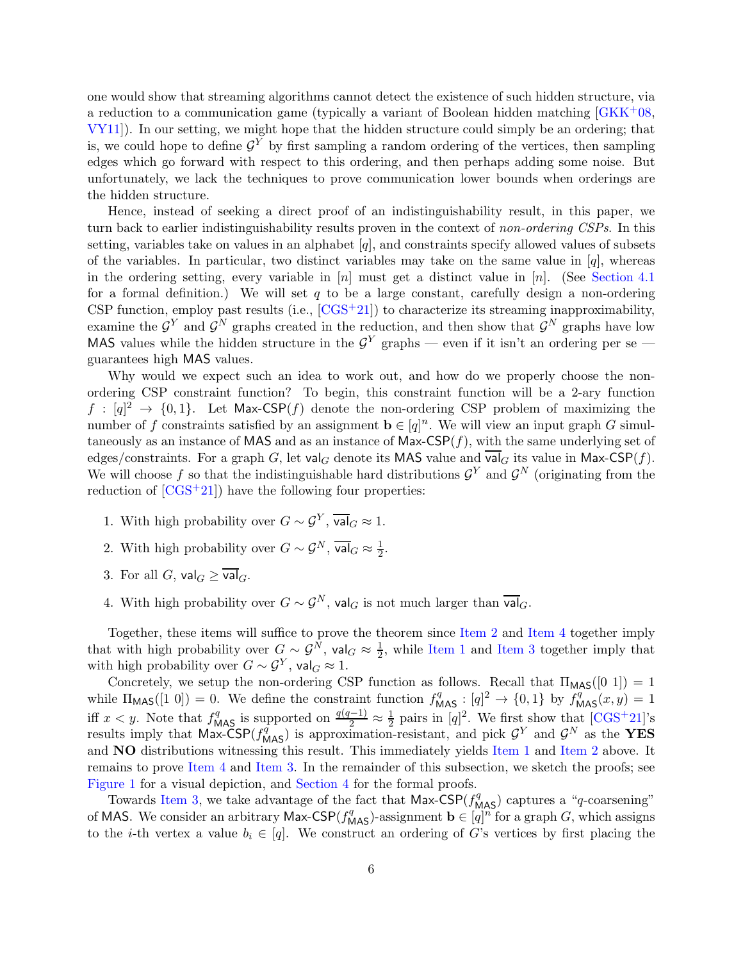one would show that streaming algorithms cannot detect the existence of such hidden structure, via a reduction to a communication game (typically a variant of Boolean hidden matching [\[GKK](#page-21-9)+08, [VY11\]](#page-22-4)). In our setting, we might hope that the hidden structure could simply be an ordering; that is, we could hope to define  $\mathcal{G}^Y$  by first sampling a random ordering of the vertices, then sampling edges which go forward with respect to this ordering, and then perhaps adding some noise. But unfortunately, we lack the techniques to prove communication lower bounds when orderings are the hidden structure.

Hence, instead of seeking a direct proof of an indistinguishability result, in this paper, we turn back to earlier indistinguishability results proven in the context of non-ordering CSPs. In this setting, variables take on values in an alphabet  $[q]$ , and constraints specify allowed values of subsets of the variables. In particular, two distinct variables may take on the same value in  $[q]$ , whereas in the ordering setting, every variable in  $[n]$  must get a distinct value in  $[n]$ . (See [Section 4.1](#page-12-0)) for a formal definition.) We will set q to be a large constant, carefully design a non-ordering CSP function, employ past results (i.e.,  $[CGS^+21]$ ) to characterize its streaming inapproximability, examine the  $\mathcal{G}^Y$  and  $\mathcal{G}^N$  graphs created in the reduction, and then show that  $\mathcal{G}^N$  graphs have low MAS values while the hidden structure in the  $\mathcal{G}^Y$  graphs — even if it isn't an ordering per se guarantees high MAS values.

Why would we expect such an idea to work out, and how do we properly choose the nonordering CSP constraint function? To begin, this constraint function will be a 2-ary function  $f : [q]^2 \to \{0,1\}$ . Let Max-CSP $(f)$  denote the non-ordering CSP problem of maximizing the number of f constraints satisfied by an assignment  $\mathbf{b} \in [q]^n$ . We will view an input graph G simultaneously as an instance of MAS and as an instance of Max-CSP $(f)$ , with the same underlying set of edges/constraints. For a graph G, let val<sub>G</sub> denote its MAS value and  $\overline{val}_G$  its value in Max-CSP(f). We will choose f so that the indistinguishable hard distributions  $\mathcal{G}^Y$  and  $\mathcal{G}^N$  (originating from the reduction of  $[CGS^+21]$  have the following four properties:

- <span id="page-5-2"></span><span id="page-5-0"></span>1. With high probability over  $G \sim \mathcal{G}^Y$ ,  $\overline{\mathsf{val}}_G \approx 1$ .
- <span id="page-5-3"></span>2. With high probability over  $G \sim \mathcal{G}^N$ ,  $\overline{\mathsf{val}}_G \approx \frac{1}{2}$  $\frac{1}{2}$ .
- <span id="page-5-1"></span>3. For all G,  $\mathsf{val}_G > \overline{\mathsf{val}}_G$ .
- 4. With high probability over  $G \sim \mathcal{G}^N$ , val<sub>G</sub> is not much larger than  $\overline{\mathsf{val}}_G$ .

Together, these items will suffice to prove the theorem since [Item 2](#page-5-0) and [Item 4](#page-5-1) together imply that with high probability over  $G \sim \mathcal{G}^N$ , val $_G \approx \frac{1}{2}$  $\frac{1}{2}$ , while [Item 1](#page-5-2) and [Item 3](#page-5-3) together imply that with high probability over  $G \sim \mathcal{G}^Y$ , val $_G \approx 1$ .

Concretely, we setup the non-ordering CSP function as follows. Recall that  $\Pi_{\text{MAS}}([0 1]) = 1$ while  $\Pi_{\text{MAS}}([1\ 0]) = 0$ . We define the constraint function  $f_{\text{MAS}}^q : [q]^2 \to \{0, 1\}$  by  $f_{\text{MAS}}^q(x, y) = 1$ iff  $x < y$ . Note that  $f_{\text{MAS}}^q$  is supported on  $\frac{q(q-1)}{2} \approx \frac{1}{2}$  $\frac{1}{2}$  pairs in [q]<sup>2</sup>. We first show that [\[CGS](#page-20-5)<sup>+</sup>21]'s results imply that Max-CSP( $f_{\text{MAS}}^q$ ) is approximation-resistant, and pick  $\mathcal{G}^Y$  and  $\mathcal{G}^N$  as the YES and NO distributions witnessing this result. This immediately yields [Item 1](#page-5-2) and [Item 2](#page-5-0) above. It remains to prove [Item 4](#page-5-1) and [Item 3.](#page-5-3) In the remainder of this subsection, we sketch the proofs; see [Figure 1](#page-10-0) for a visual depiction, and [Section 4](#page-12-1) for the formal proofs.

Towards [Item 3,](#page-5-3) we take advantage of the fact that  $Max\text{-}\text{CSP}(f_{\text{MAS}}^q)$  captures a "q-coarsening" of MAS. We consider an arbitrary Max-CSP( $f_{\text{MAS}}^q$ )-assignment  $\mathbf{b} \in [q]^n$  for a graph  $G$ , which assigns to the *i*-th vertex a value  $b_i \in [q]$ . We construct an ordering of G's vertices by first placing the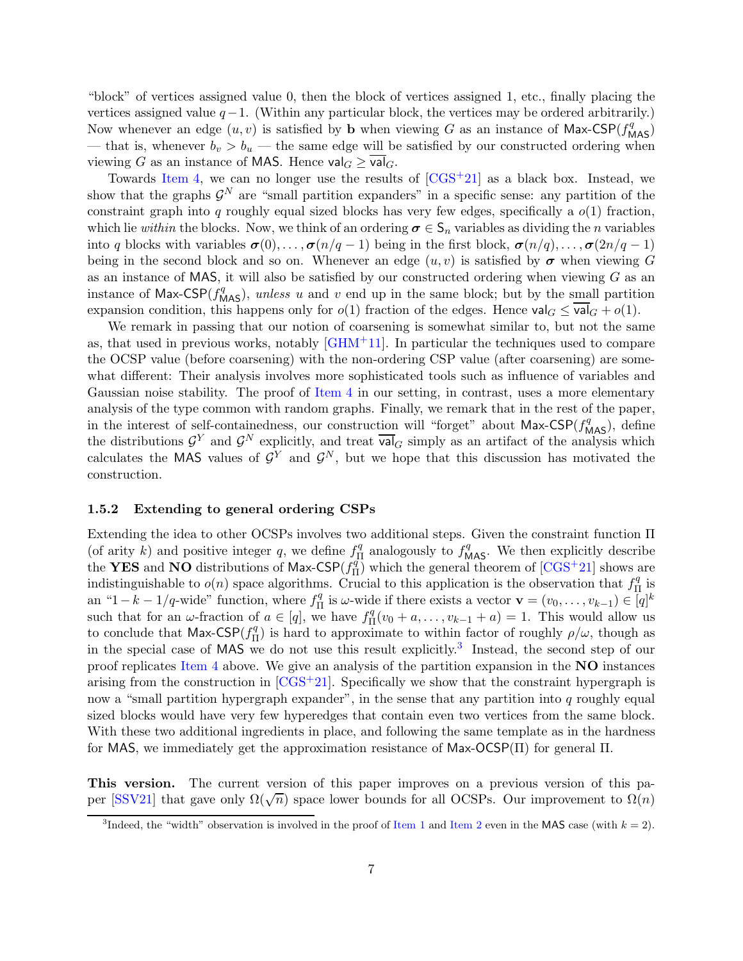"block" of vertices assigned value 0, then the block of vertices assigned 1, etc., finally placing the vertices assigned value  $q-1$ . (Within any particular block, the vertices may be ordered arbitrarily.) Now whenever an edge  $(u, v)$  is satisfied by **b** when viewing G as an instance of Max-CSP( $f_{\text{MAS}}^q$ ) — that is, whenever  $b_v > b_u$  — the same edge will be satisfied by our constructed ordering when viewing G as an instance of MAS. Hence  $\mathsf{val}_G > \overline{\mathsf{val}}_G$ .

Towards [Item 4,](#page-5-1) we can no longer use the results of  $[CGS^+21]$  as a black box. Instead, we show that the graphs  $\mathcal{G}^N$  are "small partition expanders" in a specific sense: any partition of the constraint graph into  $q$  roughly equal sized blocks has very few edges, specifically a  $o(1)$  fraction, which lie within the blocks. Now, we think of an ordering  $\sigma \in S_n$  variables as dividing the n variables into q blocks with variables  $\sigma(0), \ldots, \sigma(n/q-1)$  being in the first block,  $\sigma(n/q), \ldots, \sigma(2n/q-1)$ being in the second block and so on. Whenever an edge  $(u, v)$  is satisfied by  $\sigma$  when viewing G as an instance of MAS, it will also be satisfied by our constructed ordering when viewing  $G$  as an instance of Max-CSP( $f_{\text{MAS}}^q$ ), unless u and v end up in the same block; but by the small partition expansion condition, this happens only for  $o(1)$  fraction of the edges. Hence  $\mathsf{val}_G \leq \overline{\mathsf{val}}_G + o(1)$ .

We remark in passing that our notion of coarsening is somewhat similar to, but not the same as, that used in previous works, notably [\[GHM](#page-21-0)+11]. In particular the techniques used to compare the OCSP value (before coarsening) with the non-ordering CSP value (after coarsening) are somewhat different: Their analysis involves more sophisticated tools such as influence of variables and Gaussian noise stability. The proof of [Item 4](#page-5-1) in our setting, in contrast, uses a more elementary analysis of the type common with random graphs. Finally, we remark that in the rest of the paper, in the interest of self-containedness, our construction will "forget" about Max-CSP( $f_{\text{MAS}}^q$ ), define the distributions  $\mathcal{G}^Y$  and  $\mathcal{G}^N$  explicitly, and treat  $\overline{\mathsf{val}}_G$  simply as an artifact of the analysis which calculates the MAS values of  $\mathcal{G}^Y$  and  $\mathcal{G}^N$ , but we hope that this discussion has motivated the construction.

#### 1.5.2 Extending to general ordering CSPs

Extending the idea to other OCSPs involves two additional steps. Given the constraint function Π (of arity k) and positive integer q, we define  $f_{\Pi}^q$  $\prod_{\Pi}^q$  analogously to  $f_{\text{MAS}}^q$ . We then explicitly describe the YES and NO distributions of Max-CSP $(f_{\Pi}^q)$  $\frac{q}{\Pi}$ ) which the general theorem of [\[CGS](#page-20-5)<sup>+</sup>21] shows are indistinguishable to  $o(n)$  space algorithms. Crucial to this application is the observation that  $f_{\Pi}^q$  $_{\Pi}^{q}$  is an "1 –  $k - 1/q$ -wide" function, where  $f_{\Pi}^q$  $\prod_{\Pi}^q$  is  $\omega$ -wide if there exists a vector  $\mathbf{v} = (v_0, \dots, v_{k-1}) \in [q]^k$ such that for an  $\omega$ -fraction of  $a \in [q]$ , we have  $f_{\Pi}^q$  $\Pi_{\Pi}^{q}(v_{0} + a, \ldots, v_{k-1} + a) = 1$ . This would allow us to conclude that Max-CSP $(f_{\Pi}^q)$  $\eta_{\Pi}^{q}$ ) is hard to approximate to within factor of roughly  $\rho/\omega$ , though as in the special case of MAS we do not use this result explicitly.<sup>[3](#page-6-0)</sup> Instead, the second step of our proof replicates [Item 4](#page-5-1) above. We give an analysis of the partition expansion in the NO instances arising from the construction in  $[\text{CGS}^+21]$ . Specifically we show that the constraint hypergraph is now a "small partition hypergraph expander", in the sense that any partition into  $q$  roughly equal sized blocks would have very few hyperedges that contain even two vertices from the same block. With these two additional ingredients in place, and following the same template as in the hardness for MAS, we immediately get the approximation resistance of Max- $\overline{O}$ CSP( $\Pi$ ) for general  $\Pi$ .

This version. The current version of this paper improves on a previous version of this pa-per [\[SSV21\]](#page-22-5) that gave only  $\Omega(\sqrt{n})$  space lower bounds for all OCSPs. Our improvement to  $\Omega(n)$ 

<span id="page-6-0"></span><sup>&</sup>lt;sup>3</sup>Indeed, the "width" observation is involved in the proof of [Item 1](#page-5-2) and [Item 2](#page-5-0) even in the MAS case (with  $k = 2$ ).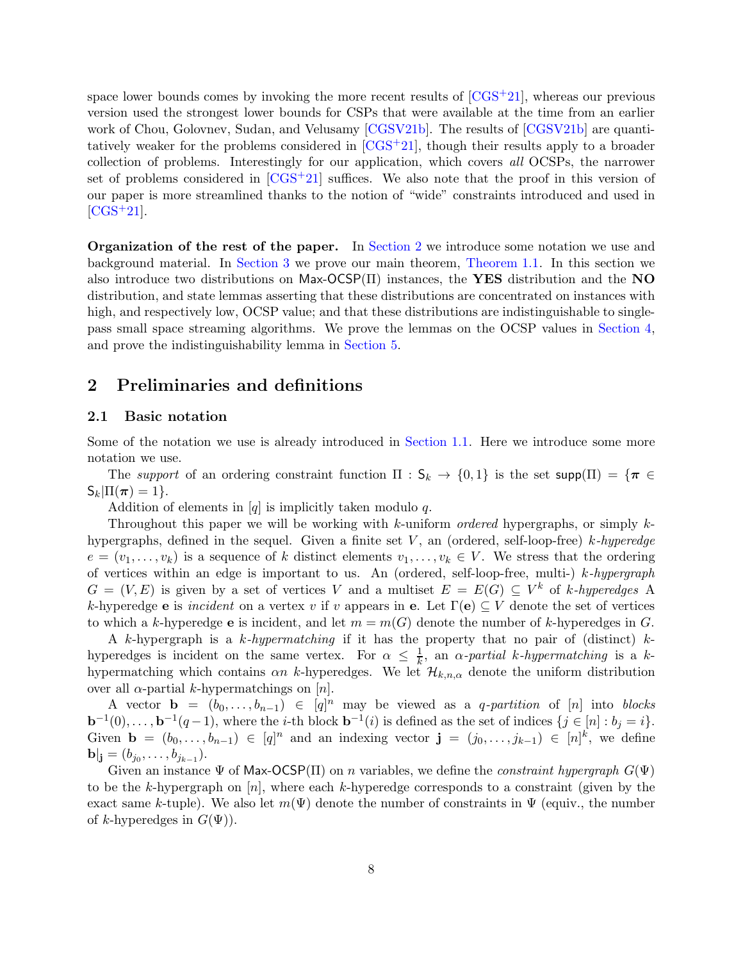space lower bounds comes by invoking the more recent results of  $[CGS^+21]$ , whereas our previous version used the strongest lower bounds for CSPs that were available at the time from an earlier work of Chou, Golovnev, Sudan, and Velusamy [\[CGSV21b\]](#page-20-4). The results of [\[CGSV21b\]](#page-20-4) are quantitatively weaker for the problems considered in [\[CGS](#page-20-5)+21], though their results apply to a broader collection of problems. Interestingly for our application, which covers all OCSPs, the narrower set of problems considered in  $[CGS^+21]$  suffices. We also note that the proof in this version of our paper is more streamlined thanks to the notion of "wide" constraints introduced and used in  $[CGS+21]$  $[CGS+21]$ .

Organization of the rest of the paper. In [Section 2](#page-7-0) we introduce some notation we use and background material. In [Section 3](#page-8-0) we prove our main theorem, [Theorem 1.1.](#page-3-0) In this section we also introduce two distributions on Max-OCSP $(\Pi)$  instances, the YES distribution and the NO distribution, and state lemmas asserting that these distributions are concentrated on instances with high, and respectively low, OCSP value; and that these distributions are indistinguishable to singlepass small space streaming algorithms. We prove the lemmas on the OCSP values in [Section 4,](#page-12-1) and prove the indistinguishability lemma in [Section 5.](#page-18-0)

# <span id="page-7-0"></span>2 Preliminaries and definitions

# 2.1 Basic notation

Some of the notation we use is already introduced in [Section 1.1.](#page-1-0) Here we introduce some more notation we use.

The support of an ordering constraint function  $\Pi : S_k \to \{0,1\}$  is the set supp $(\Pi) = {\pi \in \mathbb{R}^n}$  $S_k|\Pi(\pi)=1$ .

Addition of elements in  $[q]$  is implicitly taken modulo q.

Throughout this paper we will be working with k-uniform ordered hypergraphs, or simply khypergraphs, defined in the sequel. Given a finite set  $V$ , an (ordered, self-loop-free) k-hyperedge  $e = (v_1, \ldots, v_k)$  is a sequence of k distinct elements  $v_1, \ldots, v_k \in V$ . We stress that the ordering of vertices within an edge is important to us. An (ordered, self-loop-free, multi-)  $k-hypergraph$  $G = (V, E)$  is given by a set of vertices V and a multiset  $E = E(G) \subseteq V^k$  of k-hyperedges A k-hyperedge e is incident on a vertex v if v appears in e. Let  $\Gamma(e) \subseteq V$  denote the set of vertices to which a k-hyperedge **e** is incident, and let  $m = m(G)$  denote the number of k-hyperedges in G.

A k-hypergraph is a k-hypermatching if it has the property that no pair of (distinct)  $k$ hyperedges is incident on the same vertex. For  $\alpha \leq \frac{1}{k}$ , an  $\alpha$ -partial k-hypermatching is a khypermatching which contains  $\alpha n$  k-hyperedges. We let  $\mathcal{H}_{k,n,\alpha}$  denote the uniform distribution over all α-partial k-hypermatchings on  $[n]$ .

A vector  $\mathbf{b} = (b_0, \ldots, b_{n-1}) \in [q]^n$  may be viewed as a q-partition of [n] into blocks  $\mathbf{b}^{-1}(0), \ldots, \mathbf{b}^{-1}(q-1)$ , where the *i*-th block  $\mathbf{b}^{-1}(i)$  is defined as the set of indices  $\{j \in [n] : b_j = i\}$ . Given  $\mathbf{b} = (b_0, \ldots, b_{n-1}) \in [q]^n$  and an indexing vector  $\mathbf{j} = (j_0, \ldots, j_{k-1}) \in [n]^k$ , we define  $\mathbf{b}|_{\mathbf{j}} = (b_{j_0}, \ldots, b_{j_{k-1}}).$ 

Given an instance  $\Psi$  of Max-OCSP(II) on n variables, we define the *constraint hypergraph*  $G(\Psi)$ to be the k-hypergraph on  $[n]$ , where each k-hyperedge corresponds to a constraint (given by the exact same k-tuple). We also let  $m(\Psi)$  denote the number of constraints in  $\Psi$  (equiv., the number of k-hyperedges in  $G(\Psi)$ ).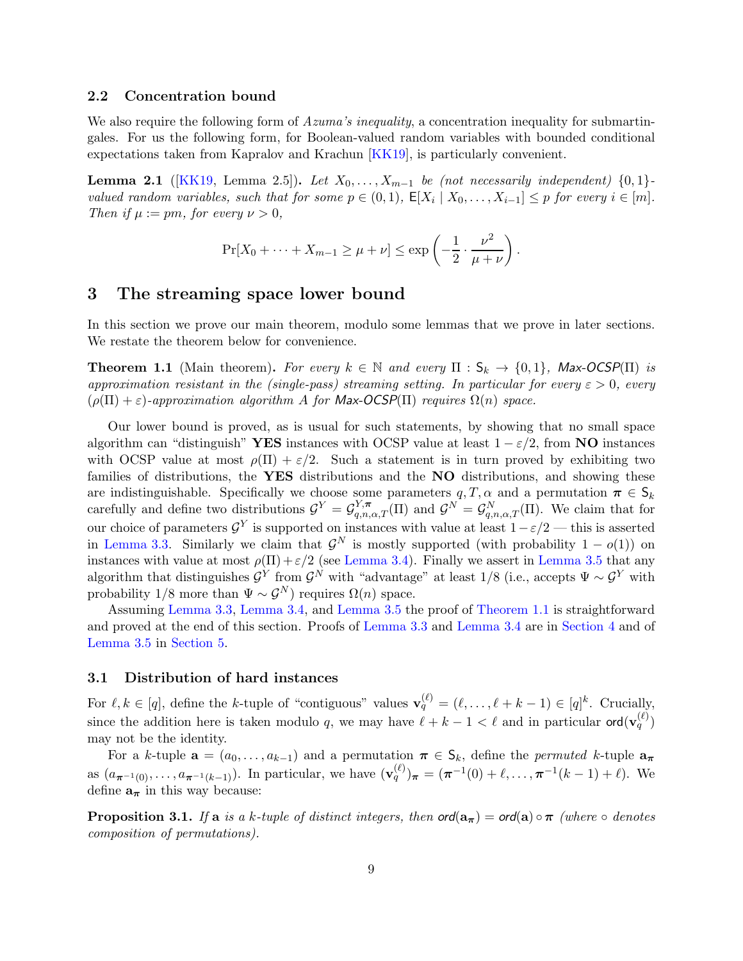## 2.2 Concentration bound

We also require the following form of  $Azuma's inequality$ , a concentration inequality for submartingales. For us the following form, for Boolean-valued random variables with bounded conditional expectations taken from Kapralov and Krachun [\[KK19\]](#page-21-8), is particularly convenient.

<span id="page-8-2"></span>**Lemma 2.1** ([\[KK19,](#page-21-8) Lemma 2.5]). Let  $X_0, \ldots, X_{m-1}$  be (not necessarily independent) {0,1}valued random variables, such that for some  $p \in (0,1)$ ,  $\mathsf{E}[X_i | X_0, \ldots, X_{i-1}] \leq p$  for every  $i \in [m]$ . Then if  $\mu := pm$ , for every  $\nu > 0$ ,

$$
\Pr[X_0 + \dots + X_{m-1} \ge \mu + \nu] \le \exp\left(-\frac{1}{2} \cdot \frac{\nu^2}{\mu + \nu}\right).
$$

# <span id="page-8-0"></span>3 The streaming space lower bound

In this section we prove our main theorem, modulo some lemmas that we prove in later sections. We restate the theorem below for convenience.

**Theorem 1.1** (Main theorem). For every  $k \in \mathbb{N}$  and every  $\Pi : S_k \to \{0,1\}$ , Max-OCSP( $\Pi$ ) is approximation resistant in the (single-pass) streaming setting. In particular for every  $\varepsilon > 0$ , every  $(\rho(\Pi) + \varepsilon)$ -approximation algorithm A for Max-OCSP( $\Pi$ ) requires  $\Omega(n)$  space.

Our lower bound is proved, as is usual for such statements, by showing that no small space algorithm can "distinguish" YES instances with OCSP value at least  $1 - \varepsilon/2$ , from NO instances with OCSP value at most  $\rho(\Pi) + \varepsilon/2$ . Such a statement is in turn proved by exhibiting two families of distributions, the YES distributions and the NO distributions, and showing these are indistinguishable. Specifically we choose some parameters  $q, T, \alpha$  and a permutation  $\pi \in \mathsf{S}_k$ carefully and define two distributions  $\mathcal{G}^Y = \mathcal{G}_{q,n,\alpha,T}^{Y,\pi}(\Pi)$  and  $\mathcal{G}^N = \mathcal{G}_{q,n,\alpha,T}^N(\Pi)$ . We claim that for our choice of parameters  $\mathcal{G}^Y$  is supported on instances with value at least  $1-\varepsilon/2$  — this is asserted in [Lemma 3.3.](#page-11-0) Similarly we claim that  $\mathcal{G}^N$  is mostly supported (with probability  $1 - o(1)$ ) on instances with value at most  $\rho(\Pi)+\varepsilon/2$  (see [Lemma 3.4\)](#page-11-1). Finally we assert in [Lemma 3.5](#page-11-2) that any algorithm that distinguishes  $\mathcal{G}^Y$  from  $\mathcal{G}^N$  with "advantage" at least 1/8 (i.e., accepts  $\Psi \sim \mathcal{G}^Y$  with probability 1/8 more than  $\Psi \sim \mathcal{G}^N$  requires  $\Omega(n)$  space.

Assuming [Lemma 3.3,](#page-11-0) [Lemma 3.4,](#page-11-1) and [Lemma 3.5](#page-11-2) the proof of [Theorem 1.1](#page-3-0) is straightforward and proved at the end of this section. Proofs of [Lemma 3.3](#page-11-0) and [Lemma 3.4](#page-11-1) are in [Section 4](#page-12-1) and of [Lemma 3.5](#page-11-2) in [Section 5.](#page-18-0)

## <span id="page-8-3"></span>3.1 Distribution of hard instances

For  $\ell, k \in [q]$ , define the k-tuple of "contiguous" values  $\mathbf{v}_q^{(\ell)} = (\ell, \ldots, \ell + k - 1) \in [q]^k$ . Crucially, since the addition here is taken modulo q, we may have  $\ell + k - 1 < \ell$  and in particular  $\text{ord}(\mathbf{v}_q^{(\ell)})$ may not be the identity.

For a k-tuple  $\mathbf{a} = (a_0, \ldots, a_{k-1})$  and a permutation  $\pi \in S_k$ , define the *permuted* k-tuple  $\mathbf{a}_{\pi}$ as  $(a_{\pi^{-1}(0)}, \ldots, a_{\pi^{-1}(k-1)})$ . In particular, we have  $(\mathbf{v}_q^{(\ell)})_{\pi} = (\pi^{-1}(0) + \ell, \ldots, \pi^{-1}(k-1) + \ell)$ . We define  $a_{\pi}$  in this way because:

<span id="page-8-1"></span>**Proposition 3.1.** If a is a k-tuple of distinct integers, then  $\text{ord}(a_{\pi}) = \text{ord}(a) \circ \pi$  (where  $\circ$  denotes composition of permutations).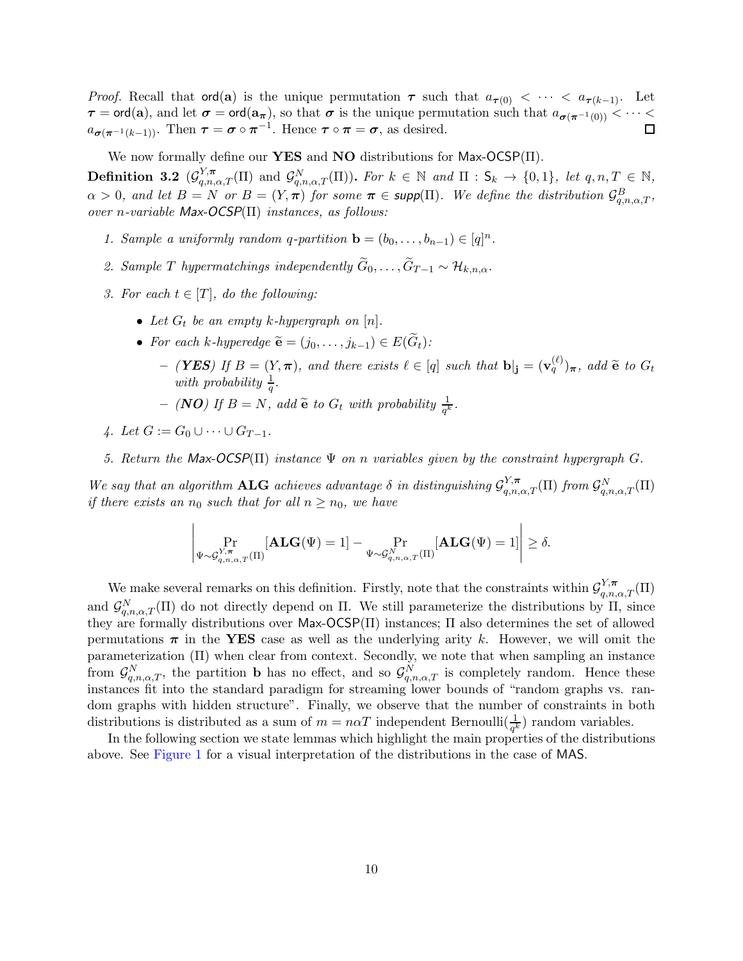*Proof.* Recall that  $\text{ord}(a)$  is the unique permutation  $\tau$  such that  $a_{\tau(0)} < \cdots < a_{\tau(k-1)}$ . Let  $\tau = \text{ord}(a)$ , and let  $\sigma = \text{ord}(a_{\pi})$ , so that  $\sigma$  is the unique permutation such that  $a_{\sigma(\pi^{-1}(0))} < \cdots <$  $a_{\sigma(\pi^{-1}(k-1))}$ . Then  $\tau = \sigma \circ \pi^{-1}$ . Hence  $\tau \circ \pi = \sigma$ , as desired.

We now formally define our YES and NO distributions for Max-OCSP $(\Pi)$ .

<span id="page-9-0"></span>**Definition 3.2**  $(\mathcal{G}_{q,n,\alpha,T}^{Y,\pi}(\Pi)$  and  $\mathcal{G}_{q,n,\alpha,T}^{N}(\Pi))$ . For  $k \in \mathbb{N}$  and  $\Pi : \mathsf{S}_k \to \{0,1\}$ , let  $q,n,T \in \mathbb{N}$ ,  $\alpha > 0$ , and let  $B = N$  or  $B = (Y, \pi)$  for some  $\pi \in \text{supp}(\Pi)$ . We define the distribution  $\mathcal{G}^B_{q,n,\alpha,T}$ , over n-variable Max-OCSP $(\Pi)$  instances, as follows:

- 1. Sample a uniformly random q-partition  $\mathbf{b} = (b_0, \ldots, b_{n-1}) \in [q]^n$ .
- 2. Sample T hypermatchings independently  $\widetilde{G}_0, \ldots, \widetilde{G}_{T-1} \sim \mathcal{H}_{k,n,\alpha}$ .
- 3. For each  $t \in [T]$ , do the following:
	- Let  $G_t$  be an empty k-hypergraph on  $[n]$ .
	- For each k-hyperedge  $\widetilde{\mathbf{e}} = (j_0, \ldots, j_{k-1}) \in E(\widetilde{G}_t)$ :
		- $-$  (**YES**) If  $B = (Y, \pi)$ , and there exists  $\ell \in [q]$  such that  $\mathbf{b}|_{\mathbf{j}} = (\mathbf{v}_q^{(\ell)})_{\pi}$ , add  $\widetilde{\mathbf{e}}$  to  $G_t$ with probability  $\frac{1}{q}$ .

 $\overline{1}$ 

- $-$  (**NO**) If  $B = N$ , add  $\tilde{e}$  to  $G_t$  with probability  $\frac{1}{q^k}$ .
- 4. Let  $G := G_0 \cup \cdots \cup G_{T-1}$ .

 $\overline{1}$ 

5. Return the Max-OCSP( $\Pi$ ) instance  $\Psi$  on n variables given by the constraint hypergraph G.

We say that an algorithm ALG achieves advantage  $\delta$  in distinguishing  $\mathcal{G}_{q,n,\alpha,T}^{Y,\pi}(\Pi)$  from  $\mathcal{G}_{q,n,\alpha,T}^{N}(\Pi)$ if there exists an  $n_0$  such that for all  $n \geq n_0$ , we have

$$
\left|\Pr_{\Psi \sim \mathcal{G}_{q,n,\alpha,T}^{Y,\pi}(\Pi)}[\mathbf{ALG}(\Psi) = 1] - \Pr_{\Psi \sim \mathcal{G}_{q,n,\alpha,T}^{N}(\Pi)}[\mathbf{ALG}(\Psi) = 1]\right| \ge \delta.
$$

We make several remarks on this definition. Firstly, note that the constraints within  $\mathcal{G}_{q,n,\alpha,T}^{Y,\pi}(\Pi)$ and  $\mathcal{G}_{q,n,\alpha,T}^N(\Pi)$  do not directly depend on  $\Pi$ . We still parameterize the distributions by  $\Pi$ , since they are formally distributions over Max-OCSP(Π) instances; Π also determines the set of allowed permutations  $\pi$  in the YES case as well as the underlying arity k. However, we will omit the parameterization (Π) when clear from context. Secondly, we note that when sampling an instance from  $\mathcal{G}_{q,n,\alpha,T}^N$ , the partition **b** has no effect, and so  $\mathcal{G}_{q,n,\alpha,T}^N$  is completely random. Hence these instances fit into the standard paradigm for streaming lower bounds of "random graphs vs. random graphs with hidden structure". Finally, we observe that the number of constraints in both distributions is distributed as a sum of  $m = n\alpha T$  independent Bernoulli $(\frac{1}{q^k})$  random variables.

In the following section we state lemmas which highlight the main properties of the distributions above. See [Figure 1](#page-10-0) for a visual interpretation of the distributions in the case of MAS.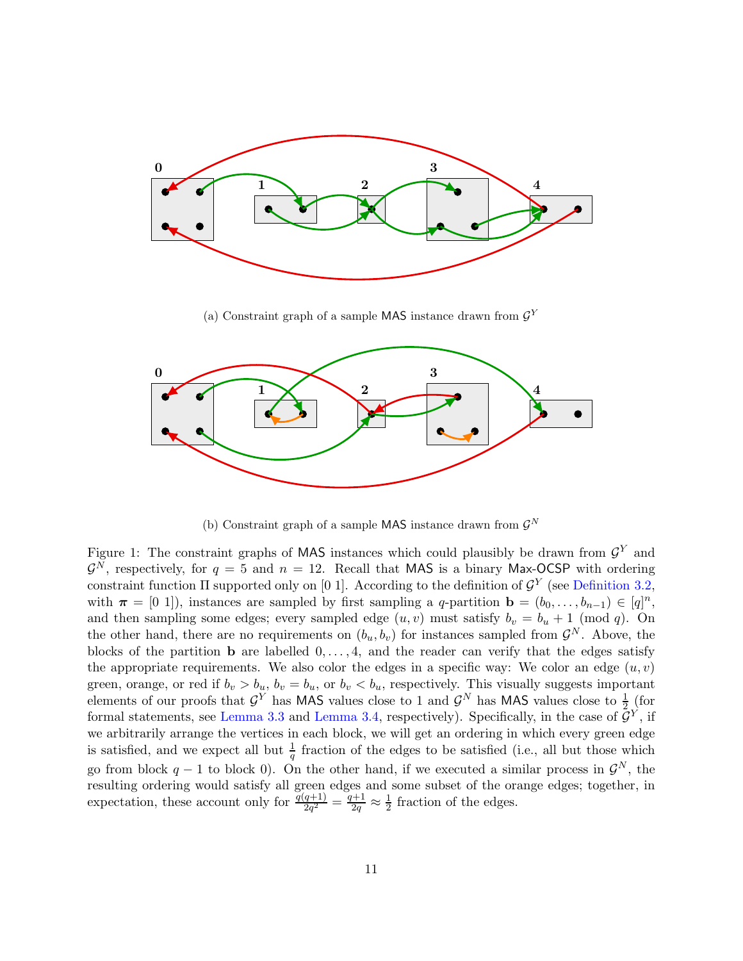<span id="page-10-0"></span>

(a) Constraint graph of a sample  $\textsf{MAS}$  instance drawn from  $\mathcal{G}^Y$ 



(b) Constraint graph of a sample  $\textsf{MAS}$  instance drawn from  $\mathcal{G}^N$ 

Figure 1: The constraint graphs of MAS instances which could plausibly be drawn from  $\mathcal{G}^Y$  and  $\mathcal{G}^N$ , respectively, for  $q = 5$  and  $n = 12$ . Recall that MAS is a binary Max-OCSP with ordering constraint function  $\Pi$  supported only on [0 1]. According to the definition of  $\mathcal{G}^Y$  (see [Definition 3.2,](#page-9-0) with  $\boldsymbol{\pi} = [0 \; 1]$ ), instances are sampled by first sampling a q-partition  $\mathbf{b} = (b_0, \ldots, b_{n-1}) \in [q]^n$ , and then sampling some edges; every sampled edge  $(u, v)$  must satisfy  $b_v = b_u + 1 \pmod{q}$ . On the other hand, there are no requirements on  $(b_u, b_v)$  for instances sampled from  $\mathcal{G}^N$ . Above, the blocks of the partition **b** are labelled  $0, \ldots, 4$ , and the reader can verify that the edges satisfy the appropriate requirements. We also color the edges in a specific way: We color an edge  $(u, v)$ green, orange, or red if  $b_v > b_u$ ,  $b_v = b_u$ , or  $b_v < b_u$ , respectively. This visually suggests important elements of our proofs that  $\mathcal{G}^Y$  has MAS values close to 1 and  $\mathcal{G}^N$  has MAS values close to  $\frac{1}{2}$  (for formal statements, see [Lemma 3.3](#page-11-0) and [Lemma 3.4,](#page-11-1) respectively). Specifically, in the case of  $\overline{\mathcal{G}}^Y$ , if we arbitrarily arrange the vertices in each block, we will get an ordering in which every green edge is satisfied, and we expect all but  $\frac{1}{q}$  fraction of the edges to be satisfied (i.e., all but those which go from block  $q-1$  to block 0). On the other hand, if we executed a similar process in  $\mathcal{G}^N$ , the resulting ordering would satisfy all green edges and some subset of the orange edges; together, in expectation, these account only for  $\frac{q(q+1)}{2q^2} = \frac{q+1}{2q}$  $\frac{d+1}{2q} \approx \frac{1}{2}$  fraction of the edges.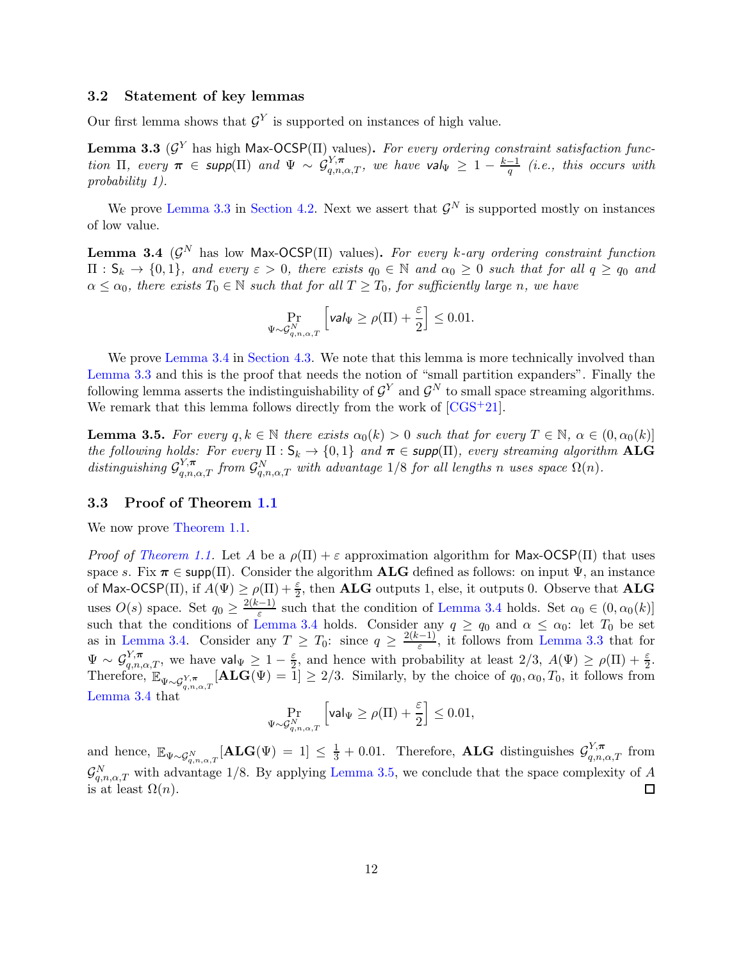# 3.2 Statement of key lemmas

Our first lemma shows that  $\mathcal{G}^Y$  is supported on instances of high value.

<span id="page-11-0"></span>**Lemma 3.3** ( $\mathcal{G}^Y$  has high Max-OCSP(II) values). For every ordering constraint satisfaction function  $\Pi$ , every  $\pi \in \text{supp}(\Pi)$  and  $\Psi \sim \mathcal{G}_{q,n,\alpha,T}^{Y,\pi}$ , we have  $\text{val}_{\Psi} \geq 1 - \frac{k-1}{q}$  (i.e., this occurs with probability 1).

We prove [Lemma 3.3](#page-11-0) in [Section 4.2.](#page-12-2) Next we assert that  $\mathcal{G}^N$  is supported mostly on instances of low value.

<span id="page-11-1"></span>**Lemma 3.4** ( $\mathcal{G}^N$  has low Max-OCSP( $\Pi$ ) values). For every k-ary ordering constraint function  $\Pi : \mathsf{S}_k \to \{0,1\}$ , and every  $\varepsilon > 0$ , there exists  $q_0 \in \mathbb{N}$  and  $\alpha_0 \geq 0$  such that for all  $q \geq q_0$  and  $\alpha \leq \alpha_0$ , there exists  $T_0 \in \mathbb{N}$  such that for all  $T \geq T_0$ , for sufficiently large n, we have

$$
\Pr_{\Psi \sim \mathcal{G}_{q,n,\alpha,T}^N} \left[ \text{val}_{\Psi} \ge \rho(\Pi) + \frac{\varepsilon}{2} \right] \le 0.01.
$$

We prove [Lemma 3.4](#page-11-1) in [Section 4.3.](#page-13-0) We note that this lemma is more technically involved than [Lemma 3.3](#page-11-0) and this is the proof that needs the notion of "small partition expanders". Finally the following lemma asserts the indistinguishability of  $\mathcal{G}^Y$  and  $\mathcal{G}^N$  to small space streaming algorithms. We remark that this lemma follows directly from the work of  $[CGS^+21]$ .

<span id="page-11-2"></span>**Lemma 3.5.** For every  $q, k \in \mathbb{N}$  there exists  $\alpha_0(k) > 0$  such that for every  $T \in \mathbb{N}$ ,  $\alpha \in (0, \alpha_0(k))$ the following holds: For every  $\Pi: \mathsf{S}_k \to \{0,1\}$  and  $\pi \in \mathsf{supp}(\Pi)$ , every streaming algorithm ALG distinguishing  $\mathcal{G}_{q,n,\alpha,T}^{Y,\pi}$  from  $\mathcal{G}_{q,n,\alpha,T}^{N}$  with advantage 1/8 for all lengths n uses space  $\Omega(n)$ .

# 3.3 Proof of Theorem [1.1](#page-3-0)

We now prove [Theorem 1.1.](#page-3-0)

*Proof of [Theorem 1.1.](#page-3-0)* Let A be a  $\rho(\Pi) + \varepsilon$  approximation algorithm for Max-OCSP( $\Pi$ ) that uses space s. Fix  $\pi \in \text{supp}(\Pi)$ . Consider the algorithm **ALG** defined as follows: on input  $\Psi$ , an instance of Max-OCSP(II), if  $A(\Psi) \ge \rho(\Pi) + \frac{\varepsilon}{2}$ , then **ALG** outputs 1, else, it outputs 0. Observe that **ALG** 2 uses  $O(s)$  space. Set  $q_0 \geq \frac{2(k-1)}{\varepsilon}$  $\frac{z-1}{\varepsilon}$  such that the condition of [Lemma 3.4](#page-11-1) holds. Set  $\alpha_0 \in (0, \alpha_0(k)]$ such that the conditions of [Lemma 3.4](#page-11-1) holds. Consider any  $q \ge q_0$  and  $\alpha \le \alpha_0$ : let  $T_0$  be set as in [Lemma 3.4.](#page-11-1) Consider any  $T \geq T_0$ : since  $q \geq \frac{2(k-1)}{\varepsilon}$  $\frac{(-1)}{\varepsilon}$ , it follows from [Lemma 3.3](#page-11-0) that for  $\Psi \sim \mathcal{G}_{q,n,\alpha,T}^{Y,\pi}$ , we have val $\Psi \geq 1-\frac{\varepsilon}{2}$  $\frac{\varepsilon}{2}$ , and hence with probability at least  $2/3$ ,  $A(\Psi) \ge \rho(\Pi) + \frac{\varepsilon}{2}$ . Therefore,  $\mathbb{E}_{\Psi \sim \mathcal{G}_{q,n,\alpha,T}^{Y,\pi}}[\mathbf{ALG}(\Psi) = 1] \geq 2/3$ . Similarly, by the choice of  $q_0, \alpha_0, T_0$ , it follows from [Lemma 3.4](#page-11-1) that

$$
\Pr_{\Psi \sim \mathcal{G}_{q,n,\alpha,T}^N} \left[ \mathsf{val}_\Psi \geq \rho(\Pi) + \frac{\varepsilon}{2} \right] \leq 0.01,
$$

and hence,  $\mathbb{E}_{\Psi \sim \mathcal{G}_{q,n,\alpha,T}^N}[\mathbf{ALG}(\Psi) = 1] \leq \frac{1}{3} + 0.01$ . Therefore, **ALG** distinguishes  $\mathcal{G}_{q,n,\alpha,T}^{Y,\pi}$  from  $\mathcal{G}_{q,n,\alpha,T}^N$  with advantage 1/8. By applying [Lemma 3.5,](#page-11-2) we conclude that the space complexity of A is at least  $\Omega(n)$ .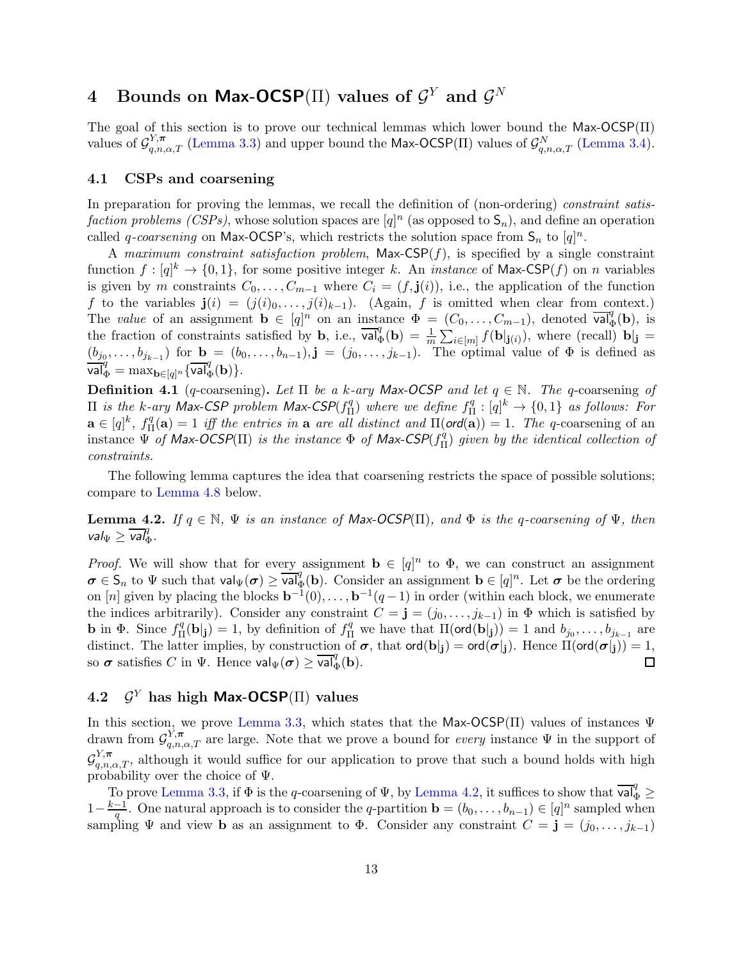# <span id="page-12-1"></span>4 Bounds on Max-OCSP( $\Pi$ ) values of  $\mathcal{G}^Y$  and  $\mathcal{G}^N$

The goal of this section is to prove our technical lemmas which lower bound the Max-OCSP(Π) values of  $\mathcal{G}_{q,n,\alpha,T}^{Y,\pi}$  [\(Lemma 3.3\)](#page-11-0) and upper bound the Max-OCSP(II) values of  $\mathcal{G}_{q,n,\alpha,T}^{N}$  [\(Lemma 3.4\)](#page-11-1).

# <span id="page-12-0"></span>4.1 CSPs and coarsening

In preparation for proving the lemmas, we recall the definition of (non-ordering) constraint satisfaction problems (CSPs), whose solution spaces are  $[q]^n$  (as opposed to  $\mathsf{S}_n$ ), and define an operation called q-coarsening on Max-OCSP's, which restricts the solution space from  $S_n$  to  $[q]^n$ .

A maximum constraint satisfaction problem,  $Max-CSP(f)$ , is specified by a single constraint function  $f: [q]^k \to \{0,1\}$ , for some positive integer k. An *instance* of Max-CSP $(f)$  on n variables is given by m constraints  $C_0, \ldots, C_{m-1}$  where  $C_i = (f, \mathbf{j}(i))$ , i.e., the application of the function f to the variables  $\mathbf{j}(i) = (j(i)_0, \ldots, j(i)_{k-1})$ . (Again, f is omitted when clear from context.) The value of an assignment  $\mathbf{b} \in [q]^n$  on an instance  $\Phi = (C_0, \ldots, C_{m-1})$ , denoted  $\overline{\mathsf{val}}^q_{\Phi}(\mathbf{b})$ , is the fraction of constraints satisfied by **b**, i.e.,  $\overline{\text{val}_{\Phi}^q}(\textbf{b}) = \frac{1}{m} \sum_{i \in [m]} f(\textbf{b}|_{\textbf{j}(i)})$ , where (recall)  $\textbf{b}|_{\textbf{j}} =$  $(b_{j_0},\ldots,b_{j_{k-1}})$  for  $\mathbf{b}=(b_0,\ldots,b_{n-1}),\mathbf{j}=(j_0,\ldots,j_{k-1})$ . The optimal value of  $\Phi$  is defined as  $\overline{\text{val}}_{\Phi}^q = \max_{\mathbf{b} \in [q]^n} {\{ \overline{\text{val}}_{\Phi}^q(\mathbf{b}) \}}.$ 

**Definition 4.1** (q-coarsening). Let  $\Pi$  be a k-ary Max-OCSP and let  $q \in \mathbb{N}$ . The q-coarsening of  $\Pi$  is the k-ary Max-CSP problem Max-CSP( $f_{\Pi}^q$  $\binom{q}{\Pi}$  where we define  $f_{\Pi}^q$  $H^q_{\Pi}:[q]^k \to \{0,1\}$  as follows: For  $\mathbf{a} \in [q]^k$ ,  $f^q_{\Pi}$  $\P^q_{\Pi}(\mathbf{a}) = 1$  iff the entries in **a** are all distinct and  $\Pi(\text{ord}(\mathbf{a})) = 1$ . The q-coarsening of an instance  $\Psi$  of Max-OCSP(II) is the instance  $\Phi$  of Max-CSP( $f_{\Pi}^{\dot{q}}$  $\binom{q}{\Pi}$  given by the identical collection of constraints.

The following lemma captures the idea that coarsening restricts the space of possible solutions; compare to [Lemma 4.8](#page-15-0) below.

<span id="page-12-3"></span>**Lemma 4.2.** If  $q \in \mathbb{N}$ ,  $\Psi$  is an instance of Max-OCSP(II), and  $\Phi$  is the q-coarsening of  $\Psi$ , then  $\mathsf{val}_{\Psi} \geq \overline{\mathsf{val}}_{\Phi}^q.$ 

*Proof.* We will show that for every assignment  $\mathbf{b} \in [q]^n$  to  $\Phi$ , we can construct an assignment  $\sigma \in \mathsf{S}_n$  to  $\Psi$  such that  $\mathsf{val}_{\Psi}(\sigma) \geq \overline{\mathsf{val}}_{\Phi}^q(\mathbf{b})$ . Consider an assignment  $\mathbf{b} \in [q]^n$ . Let  $\sigma$  be the ordering on [n] given by placing the blocks  $\mathbf{b}^{-1}(0), \ldots, \mathbf{b}^{-1}(q-1)$  in order (within each block, we enumerate the indices arbitrarily). Consider any constraint  $C = \mathbf{j} = (j_0, \ldots, j_{k-1})$  in  $\Phi$  which is satisfied by **b** in  $\Phi$ . Since  $f_{\Pi}^q$  $\P_i^q(\mathbf{b}|\mathbf{j}) = 1$ , by definition of  $f_{\Pi}^q$  we have that  $\Pi(\text{ord}(\mathbf{b}|\mathbf{j})) = 1$  and  $b_{j_0}, \ldots, b_{j_{k-1}}$  are distinct. The latter implies, by construction of  $\sigma$ , that  $\text{ord}(\mathbf{b}|j) = \text{ord}(\sigma|j)$ . Hence  $\Pi(\text{ord}(\sigma|j)) = 1$ , so  $\sigma$  satisfies C in  $\Psi$ . Hence  $\text{val}_{\Psi}(\sigma) > \text{val}_{\mathcal{A}}^q(\mathbf{b})$ . so  $\boldsymbol{\sigma}$  satisfies C in  $\Psi$ . Hence  $\text{val}_{\Psi}(\boldsymbol{\sigma}) \geq \overline{\text{val}}_{\Phi}^q(\mathbf{b})$ .

#### <span id="page-12-2"></span>4.2  $\mathcal{G}^Y$  has high Max-OCSP( $\Pi$ ) values

In this section, we prove [Lemma 3.3,](#page-11-0) which states that the Max-OCSP( $\Pi$ ) values of instances  $\Psi$ drawn from  $\mathcal{G}_{q,n,\alpha,T}^{Y,\pi}$  are large. Note that we prove a bound for every instance  $\Psi$  in the support of G  $Y_{q,n,\alpha,T}^{\gamma}$ , although it would suffice for our application to prove that such a bound holds with high probability over the choice of  $\Psi$ .

To prove [Lemma 3.3,](#page-11-0) if  $\Phi$  is the q-coarsening of  $\Psi$ , by [Lemma 4.2,](#page-12-3) it suffices to show that  $\overline{\mathsf{val}}_{\Phi}^q \geq$  $1-\frac{k-1}{q}$ . One natural approach is to consider the q-partition  $\mathbf{b} = (b_0, \ldots, b_{n-1}) \in [q]^n$  sampled when sampling  $\Psi$  and view **b** as an assignment to  $\Phi$ . Consider any constraint  $C = \mathbf{j} = (j_0, \ldots, j_{k-1})$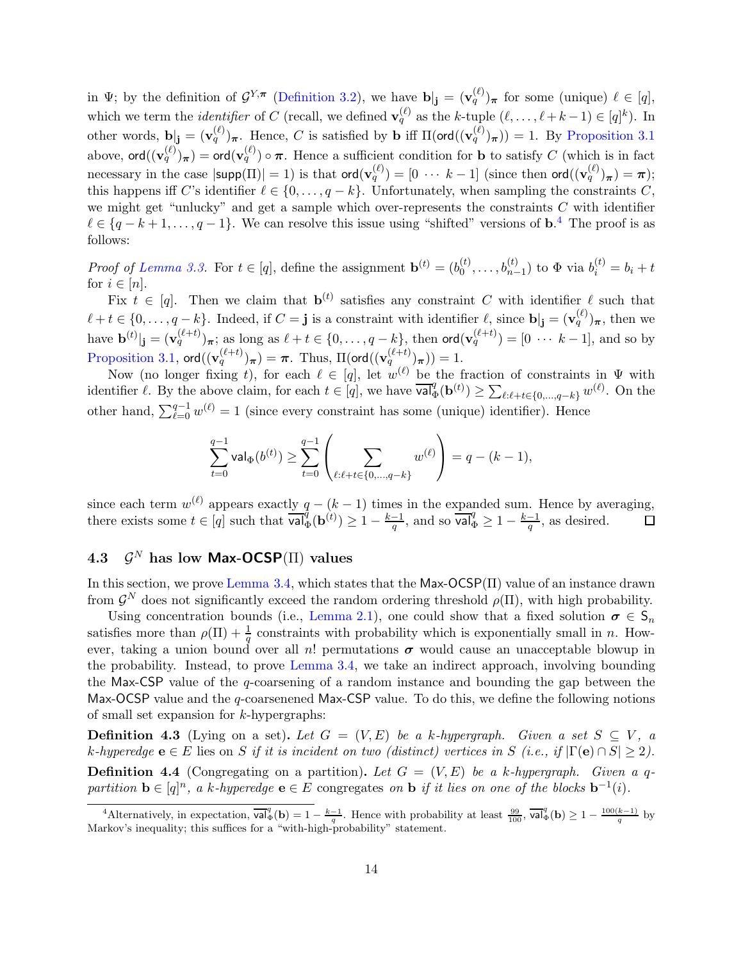in  $\Psi$ ; by the definition of  $\mathcal{G}^{Y,\pi}$  [\(Definition 3.2\)](#page-9-0), we have  $\mathbf{b}|_{\mathbf{j}} = (\mathbf{v}_q^{(\ell)})_{\pi}$  for some (unique)  $\ell \in [q],$ which we term the *identifier* of C (recall, we defined  $\mathbf{v}_q^{(\ell)}$  as the k-tuple  $(\ell, \ldots, \ell + k - 1) \in [q]^k$ ). In other words,  $\mathbf{b}$ <sub>j</sub> =  $(\mathbf{v}_q^{(\ell)})_{\boldsymbol{\pi}}$ . Hence, C is satisfied by **b** iff  $\Pi(\text{ord}((\mathbf{v}_q^{(\ell)})_{\boldsymbol{\pi}})) = 1$ . By [Proposition 3.1](#page-8-1) above,  $\textsf{ord}((\mathbf{v}_q^{(\ell)})_{\boldsymbol{\pi}}) = \textsf{ord}(\mathbf{v}_q^{(\ell)}) \circ \boldsymbol{\pi}$ . Hence a sufficient condition for **b** to satisfy C (which is in fact necessary in the case  $|\textsf{supp}(\Pi)| = 1$ ) is that  $\textsf{ord}(\mathbf{v}_q^{(\ell)}) = [0 \ \cdots \ k-1]$  (since then  $\textsf{ord}((\mathbf{v}_q^{(\ell)})_{\boldsymbol{\pi}}) = \boldsymbol{\pi}$ ); this happens iff C's identifier  $\ell \in \{0, \ldots, q - k\}$ . Unfortunately, when sampling the constraints C, we might get "unlucky" and get a sample which over-represents the constraints  $C$  with identifier  $\ell \in \{q-k+1,\ldots,q-1\}$ . We can resolve this issue using "shifted" versions of **b**.<sup>[4](#page-13-1)</sup> The proof is as follows:

*Proof of [Lemma 3.3.](#page-11-0)* For  $t \in [q]$ , define the assignment  $\mathbf{b}^{(t)} = (b_0^{(t)})$  $b_0^{(t)}, \ldots, b_{n-1}^{(t)}$ ) to  $\Phi$  via  $b_i^{(t)} = b_i + t$ for  $i \in [n]$ .

Fix  $t \in [q]$ . Then we claim that  $\mathbf{b}^{(t)}$  satisfies any constraint C with identifier  $\ell$  such that  $\ell + t \in \{0, \ldots, q-k\}$ . Indeed, if  $C = \mathbf{j}$  is a constraint with identifier  $\ell$ , since  $\mathbf{b} \vert \mathbf{j} = (\mathbf{v}_q^{(\ell)})_{\pi}$ , then we have  $\mathbf{b}^{(t)}|_{\mathbf{j}} = (\mathbf{v}_q^{(\ell+t)})_{\boldsymbol{\pi}};$  as long as  $\ell + t \in \{0, \ldots, q - k\}$ , then  $\text{ord}(\mathbf{v}_q^{(\ell+t)}) = [0 \cdots k-1]$ , and so by  $\text{Proposition 3.1, } \mathsf{ord}((\mathbf{v}_q^{(\ell+t)})_{\boldsymbol{\pi}})=\boldsymbol{\pi}. \, \text{ Thus, } \Pi(\mathsf{ord}((\mathbf{v}_q^{(\ell+t)})_{\boldsymbol{\pi}}))=1.$  $\text{Proposition 3.1, } \mathsf{ord}((\mathbf{v}_q^{(\ell+t)})_{\boldsymbol{\pi}})=\boldsymbol{\pi}. \, \text{ Thus, } \Pi(\mathsf{ord}((\mathbf{v}_q^{(\ell+t)})_{\boldsymbol{\pi}}))=1.$  $\text{Proposition 3.1, } \mathsf{ord}((\mathbf{v}_q^{(\ell+t)})_{\boldsymbol{\pi}})=\boldsymbol{\pi}. \, \text{ Thus, } \Pi(\mathsf{ord}((\mathbf{v}_q^{(\ell+t)})_{\boldsymbol{\pi}}))=1.$ 

Now (no longer fixing t), for each  $\ell \in [q]$ , let  $w^{(\ell)}$  be the fraction of constraints in  $\Psi$  with identifier  $\ell$ . By the above claim, for each  $t \in [q]$ , we have  $\overline{\mathsf{val}}^q_{\Phi}(\mathbf{b}^{(t)}) \ge \sum_{\ell:\ell+t \in \{0,\dots,q-k\}} w^{(\ell)}$ . On the other hand,  $\sum_{\ell=0}^{q-1} w^{(\ell)} = 1$  (since every constraint has some (unique) identifier). Hence

$$
\sum_{t=0}^{q-1} \text{val}_{\Phi}(b^{(t)}) \ge \sum_{t=0}^{q-1} \left( \sum_{\ell:\ell+t \in \{0,\dots,q-k\}} w^{(\ell)} \right) = q - (k-1),
$$

since each term  $w^{(\ell)}$  appears exactly  $q - (k - 1)$  times in the expanded sum. Hence by averaging, there exists some  $t \in [q]$  such that  $\overline{\mathsf{val}_{\Phi}^{\mathcal{d}}}(\mathbf{b}^{(t)}) \geq 1 - \frac{k-1}{q}$ , and so  $\overline{\mathsf{val}}_{\Phi}^{\mathcal{d}} \geq 1 - \frac{k-1}{q}$ , as desired.  $\Box$ 

#### <span id="page-13-0"></span>4.3 G  $\mathcal{G}^N$  has low Max-OCSP( $\Pi$ ) values

In this section, we prove [Lemma 3.4,](#page-11-1) which states that the  $Max-OCSP(\Pi)$  value of an instance drawn from  $\mathcal{G}^N$  does not significantly exceed the random ordering threshold  $\rho(\Pi)$ , with high probability.

Using concentration bounds (i.e., [Lemma 2.1\)](#page-8-2), one could show that a fixed solution  $\sigma \in S_n$ satisfies more than  $\rho(\Pi) + \frac{1}{q}$  constraints with probability which is exponentially small in n. However, taking a union bound over all n! permutations  $\sigma$  would cause an unacceptable blowup in the probability. Instead, to prove [Lemma 3.4,](#page-11-1) we take an indirect approach, involving bounding the Max-CSP value of the q-coarsening of a random instance and bounding the gap between the Max-OCSP value and the q-coarsenened Max-CSP value. To do this, we define the following notions of small set expansion for k-hypergraphs:

**Definition 4.3** (Lying on a set). Let  $G = (V, E)$  be a k-hypergraph. Given a set  $S \subseteq V$ , a k-hyperedge  $\mathbf{e} \in E$  lies on S if it is incident on two (distinct) vertices in S (i.e., if  $|\Gamma(\mathbf{e}) \cap S| \ge 2$ ). **Definition 4.4** (Congregating on a partition). Let  $G = (V, E)$  be a k-hypergraph. Given a qpartition  $\mathbf{b} \in [q]^n$ , a k-hyperedge  $\mathbf{e} \in E$  congregates on  $\mathbf{b}$  if it lies on one of the blocks  $\mathbf{b}^{-1}(i)$ .

<span id="page-13-1"></span><sup>&</sup>lt;sup>4</sup>Alternatively, in expectation,  $\overline{\text{val}}_{\Phi}^q(\textbf{b}) = 1 - \frac{k-1}{q}$ . Hence with probability at least  $\frac{99}{100}$ ,  $\overline{\text{val}}_{\Phi}^q(\textbf{b}) \geq 1 - \frac{100(k-1)}{q}$  by Markov's inequality; this suffices for a "with-high-probability" statement.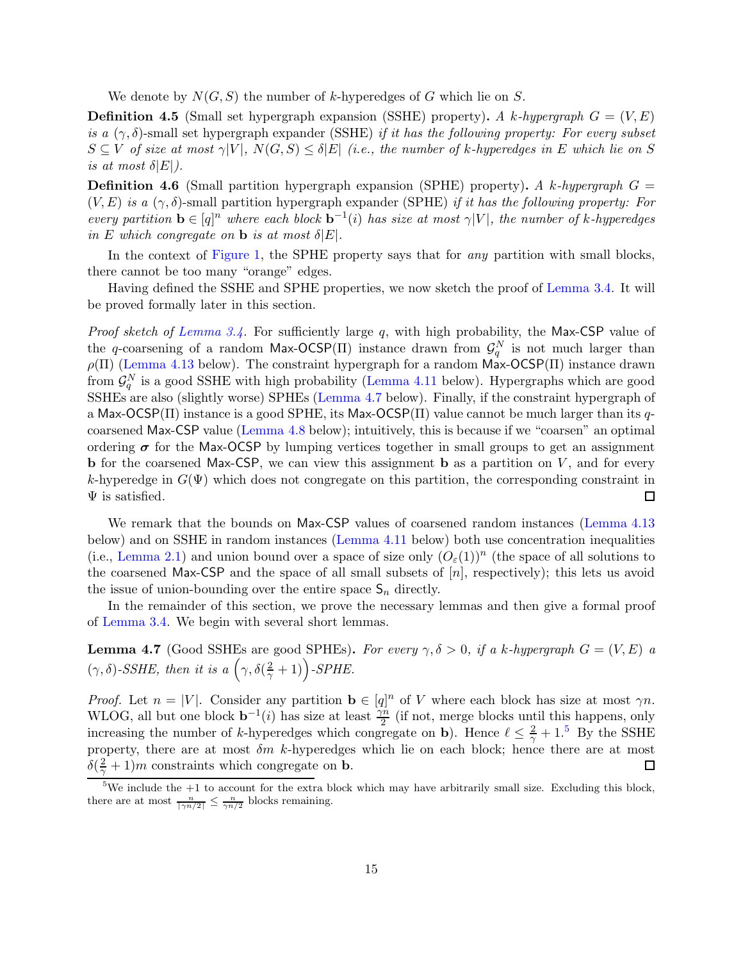We denote by  $N(G, S)$  the number of k-hyperedges of G which lie on S.

**Definition 4.5** (Small set hypergraph expansion (SSHE) property). A k-hypergraph  $G = (V, E)$ is a  $(\gamma, \delta)$ -small set hypergraph expander (SSHE) if it has the following property: For every subset  $S \subseteq V$  of size at most  $\gamma|V|$ ,  $N(G, S) \leq \delta|E|$  (i.e., the number of k-hyperedges in E which lie on S is at most  $\delta |E|$ ).

**Definition 4.6** (Small partition hypergraph expansion (SPHE) property). A k-hypergraph  $G =$  $(V, E)$  is a  $(\gamma, \delta)$ -small partition hypergraph expander (SPHE) if it has the following property: For every partition  $\mathbf{b} \in [q]^n$  where each block  $\mathbf{b}^{-1}(i)$  has size at most  $\gamma|V|$ , the number of k-hyperedges in E which congregate on **b** is at most  $\delta |E|$ .

In the context of [Figure 1,](#page-10-0) the SPHE property says that for *any* partition with small blocks, there cannot be too many "orange" edges.

Having defined the SSHE and SPHE properties, we now sketch the proof of [Lemma 3.4.](#page-11-1) It will be proved formally later in this section.

*Proof sketch of [Lemma 3.4.](#page-11-1)* For sufficiently large  $q$ , with high probability, the Max-CSP value of the q-coarsening of a random Max-OCSP( $\Pi$ ) instance drawn from  $\mathcal{G}_q^N$  is not much larger than  $\rho(\Pi)$  [\(Lemma 4.13](#page-17-0) below). The constraint hypergraph for a random Max-OCSP(II) instance drawn from  $\mathcal{G}_q^N$  is a good SSHE with high probability [\(Lemma 4.11](#page-16-0) below). Hypergraphs which are good SSHEs are also (slightly worse) SPHEs [\(Lemma 4.7](#page-14-0) below). Finally, if the constraint hypergraph of a Max-OCSP( $\Pi$ ) instance is a good SPHE, its Max-OCSP( $\Pi$ ) value cannot be much larger than its qcoarsened Max-CSP value [\(Lemma 4.8](#page-15-0) below); intuitively, this is because if we "coarsen" an optimal ordering  $\sigma$  for the Max-OCSP by lumping vertices together in small groups to get an assignment **b** for the coarsened Max-CSP, we can view this assignment **b** as a partition on  $V$ , and for every k-hyperedge in  $G(\Psi)$  which does not congregate on this partition, the corresponding constraint in  $\Psi$  is satisfied. 囗

We remark that the bounds on Max-CSP values of coarsened random instances [\(Lemma 4.13](#page-17-0)) below) and on SSHE in random instances [\(Lemma 4.11](#page-16-0) below) both use concentration inequalities (i.e., [Lemma 2.1\)](#page-8-2) and union bound over a space of size only  $(O<sub>\varepsilon</sub>(1))^n$  (the space of all solutions to the coarsened Max-CSP and the space of all small subsets of  $[n]$ , respectively); this lets us avoid the issue of union-bounding over the entire space  $S_n$  directly.

In the remainder of this section, we prove the necessary lemmas and then give a formal proof of [Lemma 3.4.](#page-11-1) We begin with several short lemmas.

<span id="page-14-0"></span>**Lemma 4.7** (Good SSHEs are good SPHEs). For every  $\gamma, \delta > 0$ , if a k-hypergraph  $G = (V, E)$  a  $(\gamma, \delta)$ -SSHE, then it is a  $(\gamma, \delta(\frac{2}{\gamma}+1))$ -SPHE.

*Proof.* Let  $n = |V|$ . Consider any partition  $\mathbf{b} \in [q]^n$  of V where each block has size at most  $\gamma n$ . WLOG, all but one block  $\mathbf{b}^{-1}(i)$  has size at least  $\frac{\gamma n}{2}$  (if not, merge blocks until this happens, only increasing the number of k-hyperedges which congregate on b). Hence  $\ell \leq \frac{2}{\gamma} + 1.5$  $\ell \leq \frac{2}{\gamma} + 1.5$  By the SSHE property, there are at most  $\delta m$  k-hyperedges which lie on each block; hence there are at most  $\delta(\frac{2}{\gamma}+1)m$  constraints which congregate on **b**.  $\Box$ 

<span id="page-14-1"></span><sup>&</sup>lt;sup>5</sup>We include the  $+1$  to account for the extra block which may have arbitrarily small size. Excluding this block, there are at most  $\frac{n}{\lceil \gamma n/2 \rceil} \leq \frac{n}{\gamma n/2}$  blocks remaining.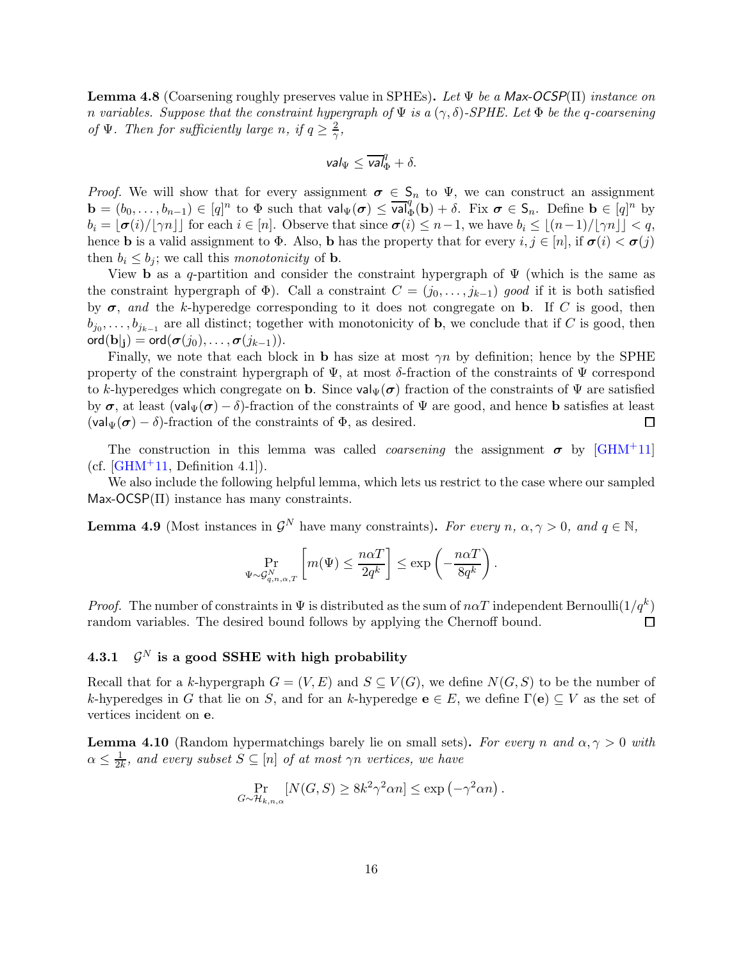<span id="page-15-0"></span>**Lemma 4.8** (Coarsening roughly preserves value in SPHEs). Let  $\Psi$  be a Max-OCSP( $\Pi$ ) instance on n variables. Suppose that the constraint hypergraph of  $\Psi$  is a  $(\gamma, \delta)$ -SPHE. Let  $\Phi$  be the q-coarsening of  $\Psi$ . Then for sufficiently large n, if  $q \geq \frac{2}{\gamma}$  $\frac{2}{\gamma},$ 

$$
\mathsf{val}_{\Psi} \leq \overline{\mathsf{val}}_{\Phi}^q + \delta.
$$

*Proof.* We will show that for every assignment  $\sigma \in S_n$  to  $\Psi$ , we can construct an assignment  $\mathbf{b} = (b_0, \ldots, b_{n-1}) \in [q]^n$  to  $\Phi$  such that  $\mathsf{val}_{\Psi}(\sigma) \leq \overline{\mathsf{val}}_{\Phi}^q(\mathbf{b}) + \delta$ . Fix  $\sigma \in \mathsf{S}_n$ . Define  $\mathbf{b} \in [q]^n$  by  $b_i = |\boldsymbol{\sigma}(i)| |\gamma n| |\text{ for each } i \in [n].$  Observe that since  $\boldsymbol{\sigma}(i) \leq n-1$ , we have  $b_i \leq |(n-1)| |\gamma n| |\leq q$ , hence **b** is a valid assignment to  $\Phi$ . Also, **b** has the property that for every  $i, j \in [n]$ , if  $\sigma(i) < \sigma(j)$ then  $b_i \leq b_j$ ; we call this *monotonicity* of **b**.

View **b** as a q-partition and consider the constraint hypergraph of  $\Psi$  (which is the same as the constraint hypergraph of  $\Phi$ ). Call a constraint  $C = (j_0, \ldots, j_{k-1})$  good if it is both satisfied by  $\sigma$ , and the k-hyperedge corresponding to it does not congregate on **b**. If C is good, then  $b_{j_0}, \ldots, b_{j_{k-1}}$  are all distinct; together with monotonicity of **b**, we conclude that if C is good, then  $\text{ord}(\mathbf{b}|_{\mathbf{i}}) = \text{ord}(\boldsymbol{\sigma}(j_0), \ldots, \boldsymbol{\sigma}(j_{k-1})).$ 

Finally, we note that each block in **b** has size at most  $\gamma n$  by definition; hence by the SPHE property of the constraint hypergraph of  $\Psi$ , at most  $\delta$ -fraction of the constraints of  $\Psi$  correspond to k-hyperedges which congregate on **b**. Since  $\mathsf{val}_{\Psi}(\sigma)$  fraction of the constraints of  $\Psi$  are satisfied by σ, at least (val $\Psi(\sigma) - \delta$ )-fraction of the constraints of  $\Psi$  are good, and hence **b** satisfies at least (val $\Psi(\sigma) - \delta$ )-fraction of the constraints of  $\Phi$ , as desired.  $\left(\text{val}_{\Psi}(\sigma) - \delta\right)$ -fraction of the constraints of  $\Phi$ , as desired.

The construction in this lemma was called *coarsening* the assignment  $\sigma$  by [\[GHM](#page-21-0)<sup>+</sup>11] (cf.  $\overline{GHM+11}$ , Definition 4.1.).

We also include the following helpful lemma, which lets us restrict to the case where our sampled  $Max-OCSP(\Pi)$  instance has many constraints.

<span id="page-15-2"></span>**Lemma 4.9** (Most instances in  $\mathcal{G}^N$  have many constraints). For every n,  $\alpha, \gamma > 0$ , and  $q \in \mathbb{N}$ ,

$$
\Pr_{\Psi \sim \mathcal{G}_{q,n,\alpha,T}^N}\left[m(\Psi) \leq \frac{n \alpha T}{2q^k}\right] \leq \exp\left(-\frac{n \alpha T}{8q^k}\right).
$$

*Proof.* The number of constraints in  $\Psi$  is distributed as the sum of  $n\alpha T$  independent Bernoulli $(1/q^k)$ random variables. The desired bound follows by applying the Chernoff bound.  $\Box$ 

#### $4.3.1$  $\mathcal{G}^N$  is a good SSHE with high probability

Recall that for a k-hypergraph  $G = (V, E)$  and  $S \subseteq V(G)$ , we define  $N(G, S)$  to be the number of k-hyperedges in G that lie on S, and for an k-hyperedge  $e \in E$ , we define  $\Gamma(e) \subseteq V$  as the set of vertices incident on e.

<span id="page-15-1"></span>**Lemma 4.10** (Random hypermatchings barely lie on small sets). For every n and  $\alpha, \gamma > 0$  with  $\alpha \leq \frac{1}{2l}$  $\frac{1}{2k}$ , and every subset  $S \subseteq [n]$  of at most  $\gamma n$  vertices, we have

$$
\Pr_{G \sim \mathcal{H}_{k,n,\alpha}}[N(G, S) \ge 8k^2\gamma^2 \alpha n] \le \exp\left(-\gamma^2 \alpha n\right).
$$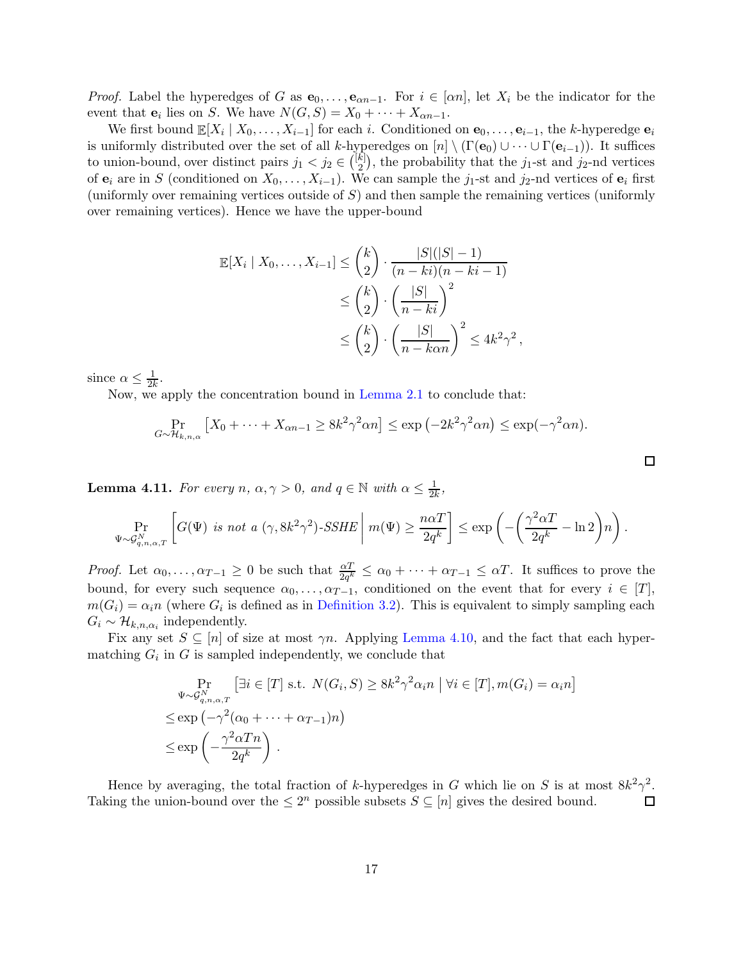*Proof.* Label the hyperedges of G as  $\mathbf{e}_0, \ldots, \mathbf{e}_{\alpha n-1}$ . For  $i \in [\alpha n]$ , let  $X_i$  be the indicator for the event that  $\mathbf{e}_i$  lies on S. We have  $N(G, S) = X_0 + \cdots + X_{\alpha n-1}$ .

We first bound  $\mathbb{E}[X_i \mid X_0, \ldots, X_{i-1}]$  for each i. Conditioned on  $\mathbf{e}_0, \ldots, \mathbf{e}_{i-1}$ , the k-hyperedge  $\mathbf{e}_i$ is uniformly distributed over the set of all k-hyperedges on  $[n] \setminus (\Gamma(\mathbf{e}_0) \cup \cdots \cup \Gamma(\mathbf{e}_{i-1}))$ . It suffices to union-bound, over distinct pairs  $j_1 < j_2 \in \binom{[k]}{2}$  $\binom{k}{2}$ , the probability that the j<sub>1</sub>-st and j<sub>2</sub>-nd vertices of  $e_i$  are in S (conditioned on  $X_0, \ldots, X_{i-1}$ ). We can sample the j<sub>1</sub>-st and j<sub>2</sub>-nd vertices of  $e_i$  first (uniformly over remaining vertices outside of  $S$ ) and then sample the remaining vertices (uniformly over remaining vertices). Hence we have the upper-bound

$$
\mathbb{E}[X_i | X_0, \dots, X_{i-1}] \le \binom{k}{2} \cdot \frac{|S|(|S|-1)}{(n-ki)(n-ki-1)} \le \binom{k}{2} \cdot \left(\frac{|S|}{n-ki}\right)^2 \le \binom{k}{2} \cdot \left(\frac{|S|}{n-kan}\right)^2 \le 4k^2\gamma^2,
$$

since  $\alpha \leq \frac{1}{2k}$ .

Now, we apply the concentration bound in [Lemma 2.1](#page-8-2) to conclude that:

$$
\Pr_{G \sim \mathcal{H}_{k,n,\alpha}} \left[ X_0 + \dots + X_{\alpha n-1} \ge 8k^2 \gamma^2 \alpha n \right] \le \exp\left( -2k^2 \gamma^2 \alpha n \right) \le \exp(-\gamma^2 \alpha n).
$$

 $\Box$ 

<span id="page-16-0"></span>**Lemma 4.11.** For every  $n, \alpha, \gamma > 0$ , and  $q \in \mathbb{N}$  with  $\alpha \leq \frac{1}{2l}$  $\frac{1}{2k}$ 

$$
\Pr_{\Psi \sim \mathcal{G}_{q,n,\alpha,T}^N}\left[G(\Psi) \text{ is not a } (\gamma,8k^2\gamma^2)\text{-}SSHE\mid m(\Psi) \geq \frac{n\alpha T}{2q^k}\right] \leq \exp\left(-\left(\frac{\gamma^2\alpha T}{2q^k} - \ln 2\right)n\right).
$$

*Proof.* Let  $\alpha_0, \ldots, \alpha_{T-1} \geq 0$  be such that  $\frac{\alpha T}{2q^k} \leq \alpha_0 + \cdots + \alpha_{T-1} \leq \alpha T$ . It suffices to prove the bound, for every such sequence  $\alpha_0, \ldots, \alpha_{T-1}$ , conditioned on the event that for every  $i \in [T]$ ,  $m(G_i) = \alpha_i n$  (where  $G_i$  is defined as in [Definition 3.2\)](#page-9-0). This is equivalent to simply sampling each  $G_i \sim \mathcal{H}_{k,n,\alpha_i}$  independently.

Fix any set  $S \subseteq [n]$  of size at most  $\gamma n$ . Applying [Lemma 4.10,](#page-15-1) and the fact that each hypermatching  $G_i$  in G is sampled independently, we conclude that

$$
\Pr_{\substack{\Psi \sim \mathcal{G}_{q,n,\alpha,T}^N}} \left[ \exists i \in [T] \text{ s.t. } N(G_i, S) \ge 8k^2 \gamma^2 \alpha_i n \mid \forall i \in [T], m(G_i) = \alpha_i n \right]
$$
\n
$$
\le \exp\left( -\gamma^2 (\alpha_0 + \dots + \alpha_{T-1}) n \right)
$$
\n
$$
\le \exp\left( -\frac{\gamma^2 \alpha T n}{2q^k} \right).
$$

Hence by averaging, the total fraction of k-hyperedges in G which lie on S is at most  $8k^2\gamma^2$ . Taking the union-bound over the  $\leq 2^n$  possible subsets  $S \subseteq [n]$  gives the desired bound.  $\Box$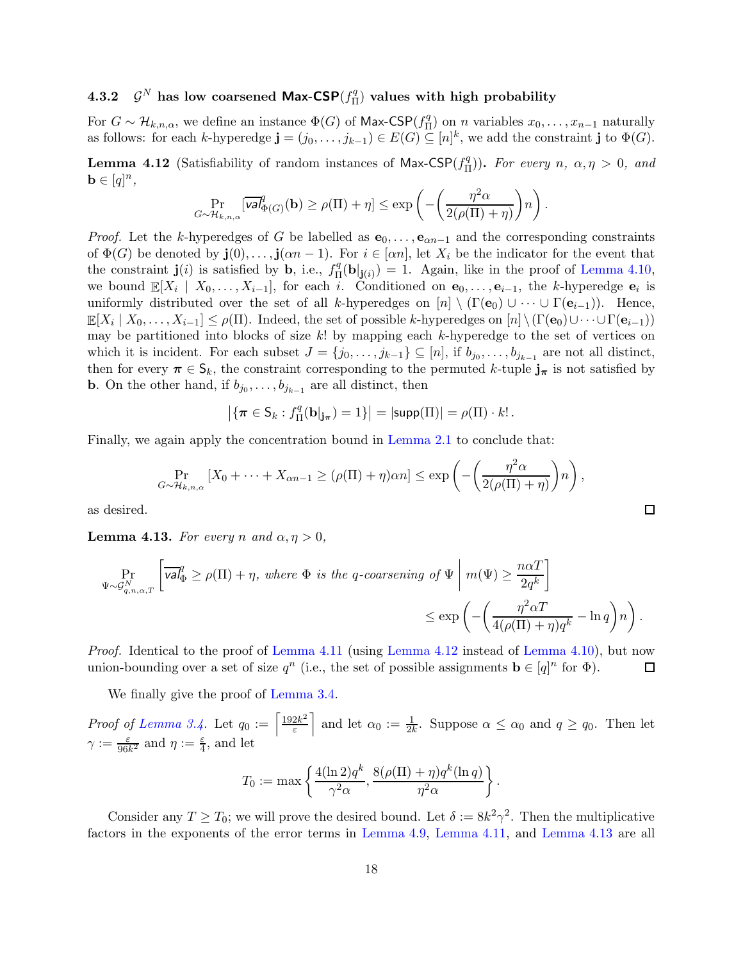#### $4.3.2$  $^N$  has low coarsened Max-CSP $(f^q_{\scriptscriptstyle \Pi}$  $\mathcal{H}_{\Pi}^{(q)}$  values with high probability

For  $G \sim \mathcal{H}_{k,n,\alpha}$ , we define an instance  $\Phi(G)$  of Max-CSP( $f_{\Pi}^q$  $\prod_{n=1}^{q}$  on *n* variables  $x_0, \ldots, x_{n-1}$  naturally as follows: for each k-hyperedge  $\mathbf{j} = (j_0, \ldots, j_{k-1}) \in E(G) \subseteq [n]^k$ , we add the constraint  $\mathbf{j}$  to  $\Phi(G)$ .

<span id="page-17-1"></span>**Lemma 4.12** (Satisfiability of random instances of Max-CSP $(f_{\Pi}^q)$  $(\frac{q}{\Pi})$ ). For every  $n, \alpha, \eta > 0$ , and  $\mathbf{b} \in [q]^n$ ,

$$
\Pr_{G \sim \mathcal{H}_{k,n,\alpha}}[\overline{\text{val}}_{\Phi(G)}^q(\mathbf{b}) \ge \rho(\Pi) + \eta] \le \exp\left(-\left(\frac{\eta^2 \alpha}{2(\rho(\Pi) + \eta)}\right)n\right).
$$

*Proof.* Let the k-hyperedges of G be labelled as  $e_0, \ldots, e_{\alpha n-1}$  and the corresponding constraints of  $\Phi(G)$  be denoted by  $\mathbf{j}(0), \ldots, \mathbf{j}(an-1)$ . For  $i \in [\alpha n]$ , let  $X_i$  be the indicator for the event that the constraint  $\mathbf{j}(i)$  is satisfied by **b**, i.e.,  $f_{\Pi}^q$  $I_{\Pi}^q(\mathbf{b}|\mathbf{j}(i)) = 1$ . Again, like in the proof of [Lemma 4.10,](#page-15-1) we bound  $\mathbb{E}[X_i \mid X_0, \ldots, X_{i-1}]$ , for each i. Conditioned on  $\mathbf{e}_0, \ldots, \mathbf{e}_{i-1}$ , the k-hyperedge  $\mathbf{e}_i$  is uniformly distributed over the set of all k-hyperedges on  $[n] \setminus (\Gamma(\mathbf{e}_0) \cup \cdots \cup \Gamma(\mathbf{e}_{i-1}))$ . Hence,  $\mathbb{E}[X_i \mid X_0, \ldots, X_{i-1}] \leq \rho(\Pi)$ . Indeed, the set of possible k-hyperedges on  $[n] \setminus (\Gamma(\mathbf{e}_0) \cup \cdots \cup \Gamma(\mathbf{e}_{i-1}))$ may be partitioned into blocks of size  $k!$  by mapping each k-hyperedge to the set of vertices on which it is incident. For each subset  $J = \{j_0, \ldots, j_{k-1}\} \subseteq [n]$ , if  $b_{j_0}, \ldots, b_{j_{k-1}}$  are not all distinct, then for every  $\pi \in S_k$ , the constraint corresponding to the permuted k-tuple  $j_{\pi}$  is not satisfied by **b**. On the other hand, if  $b_{j_0}, \ldots, b_{j_{k-1}}$  are all distinct, then

$$
\left|\{\boldsymbol{\pi} \in \mathsf{S}_k : f_\Pi^q(\mathbf{b}|_{\mathbf{j}_\pi}) = 1\}\right| = |\mathsf{supp}(\Pi)| = \rho(\Pi) \cdot k! \, .
$$

Finally, we again apply the concentration bound in [Lemma 2.1](#page-8-2) to conclude that:

$$
\Pr_{G \sim \mathcal{H}_{k,n,\alpha}} \left[ X_0 + \dots + X_{\alpha n-1} \ge (\rho(\Pi) + \eta)\alpha n \right] \le \exp\left( -\left( \frac{\eta^2 \alpha}{2(\rho(\Pi) + \eta)} \right) n \right),
$$

as desired.

<span id="page-17-0"></span>**Lemma 4.13.** For every n and  $\alpha, \eta > 0$ ,

$$
\Pr_{\Psi \sim \mathcal{G}_{q,n,\alpha,T}^N} \left[ \overline{\text{val}}_{\Phi}^q \ge \rho(\Pi) + \eta, \text{ where } \Phi \text{ is the } q\text{-coarsening of } \Psi \mid m(\Psi) \ge \frac{n\alpha T}{2q^k} \right] \le \exp \left( -\left( \frac{\eta^2 \alpha T}{4(\rho(\Pi) + \eta)q^k} - \ln q \right) n \right).
$$

Proof. Identical to the proof of [Lemma 4.11](#page-16-0) (using [Lemma 4.12](#page-17-1) instead of [Lemma 4.10\)](#page-15-1), but now union-bounding over a set of size  $q^n$  (i.e., the set of possible assignments  $\mathbf{b} \in [q]^n$  for  $\Phi$ ). 口

We finally give the proof of [Lemma 3.4.](#page-11-1)

*Proof of [Lemma 3.4.](#page-11-1)* Let  $q_0 := \left[\frac{192k^2}{5}\right]$ ε and let  $\alpha_0 := \frac{1}{2k}$ . Suppose  $\alpha \leq \alpha_0$  and  $q \geq q_0$ . Then let  $\gamma := \frac{\varepsilon}{96k^2}$  and  $\eta := \frac{\varepsilon}{4}$ , and let

$$
T_0 := \max \left\{ \frac{4(\ln 2)q^k}{\gamma^2 \alpha}, \frac{8(\rho(\Pi) + \eta)q^k(\ln q)}{\eta^2 \alpha} \right\}.
$$

Consider any  $T \geq T_0$ ; we will prove the desired bound. Let  $\delta := 8k^2\gamma^2$ . Then the multiplicative factors in the exponents of the error terms in [Lemma 4.9,](#page-15-2) [Lemma 4.11,](#page-16-0) and [Lemma 4.13](#page-17-0) are all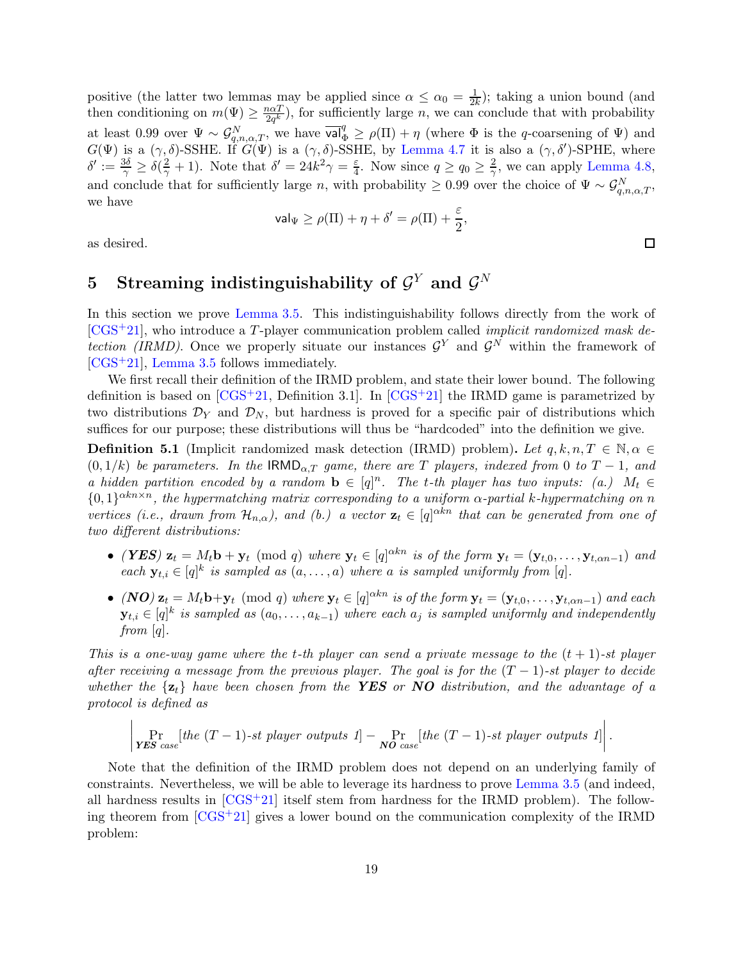positive (the latter two lemmas may be applied since  $\alpha \leq \alpha_0 = \frac{1}{2k}$ ); taking a union bound (and then conditioning on  $m(\Psi) \geq \frac{n\alpha T}{2q^k}$  $\frac{2\alpha T}{2q^k}$ , for sufficiently large *n*, we can conclude that with probability at least 0.99 over  $\Psi \sim \mathcal{G}_{q,n,\alpha,T}^N$ , we have  $\overline{\mathsf{val}}_{\Phi}^q \geq \rho(\Pi) + \eta$  (where  $\Phi$  is the q-coarsening of  $\Psi$ ) and  $G(\Psi)$  is a  $(\gamma, \delta)$ -SSHE. If  $G(\Psi)$  is a  $(\gamma, \delta)$ -SSHE, by [Lemma 4.7](#page-14-0) it is also a  $(\gamma, \delta')$ -SPHE, where  $\delta' := \frac{3\delta}{\gamma} \ge \delta(\frac{2}{\gamma} + 1)$ . Note that  $\delta' = 24k^2\gamma = \frac{\varepsilon}{4}$  $\frac{\varepsilon}{4}$ . Now since  $q \ge q_0 \ge \frac{2}{\gamma}$  $\frac{2}{\gamma}$ , we can apply [Lemma 4.8,](#page-15-0) and conclude that for sufficiently large n, with probability  $\geq 0.99$  over the choice of  $\Psi \sim \mathcal{G}_{q,n,\alpha,T}^N$ , we have

$$
\mathsf{val}_\Psi \geq \rho(\Pi) + \eta + \delta' = \rho(\Pi) + \frac{\varepsilon}{2},
$$

<span id="page-18-0"></span>as desired.

# $5$  Streaming indistinguishability of  $\mathcal{G}^Y$  and  $\mathcal{G}^N$

In this section we prove [Lemma 3.5.](#page-11-2) This indistinguishability follows directly from the work of  $[CGS+21]$  $[CGS+21]$ , who introduce a T-player communication problem called *implicit randomized mask de*tection (IRMD). Once we properly situate our instances  $\mathcal{G}^Y$  and  $\mathcal{G}^N$  within the framework of [\[CGS](#page-20-5)+21], [Lemma 3.5](#page-11-2) follows immediately.

We first recall their definition of the IRMD problem, and state their lower bound. The following definition is based on  $[\text{CGS}^+21, \text{Definition 3.1}]$ . In  $[\text{CGS}^+21]$  the IRMD game is parametrized by two distributions  $\mathcal{D}_Y$  and  $\mathcal{D}_N$ , but hardness is proved for a specific pair of distributions which suffices for our purpose; these distributions will thus be "hardcoded" into the definition we give.

**Definition 5.1** (Implicit randomized mask detection (IRMD) problem). Let  $q, k, n, T \in \mathbb{N}, \alpha \in$  $(0, 1/k)$  be parameters. In the  $\text{IRMD}_{\alpha,T}$  game, there are T players, indexed from 0 to T – 1, and a hidden partition encoded by a random  $\mathbf{b} \in [q]^n$ . The t-th player has two inputs: (a.)  $M_t \in$  $\{0,1\}^{\alpha k n \times n}$ , the hypermatching matrix corresponding to a uniform  $\alpha$ -partial k-hypermatching on n vertices (i.e., drawn from  $\mathcal{H}_{n,\alpha}$ ), and (b.) a vector  $\mathbf{z}_t \in [q]^{\alpha k n}$  that can be generated from one of two different distributions:

- (YES)  $\mathbf{z}_t = M_t \mathbf{b} + \mathbf{y}_t \pmod{q}$  where  $\mathbf{y}_t \in [q]^{\alpha k n}$  is of the form  $\mathbf{y}_t = (\mathbf{y}_{t,0}, \dots, \mathbf{y}_{t, \alpha n-1})$  and each  $\mathbf{y}_{t,i} \in [q]^k$  is sampled as  $(a, \ldots, a)$  where a is sampled uniformly from  $[q]$ .
- $(NO)$   $z_t = M_t b + y_t \pmod{q}$  where  $y_t \in [q]^{\alpha k n}$  is of the form  $y_t = (y_{t,0}, \ldots, y_{t, \alpha n-1})$  and each  $\mathbf{y}_{t,i} \in [q]^k$  is sampled as  $(a_0, \ldots, a_{k-1})$  where each  $a_j$  is sampled uniformly and independently from  $[q]$ .

This is a one-way game where the t-th player can send a private message to the  $(t + 1)$ -st player after receiving a message from the previous player. The goal is for the  $(T - 1)$ -st player to decide whether the  $\{z_t\}$  have been chosen from the YES or NO distribution, and the advantage of a protocol is defined as

$$
\left|\Pr_{\textit{YES case}}[\textit{the $(T-1)$-st player outputs 1]} - \Pr_{\textit{NO case}}[\textit{the $(T-1)$-st player outputs 1]} \right|.
$$

Note that the definition of the IRMD problem does not depend on an underlying family of constraints. Nevertheless, we will be able to leverage its hardness to prove [Lemma 3.5](#page-11-2) (and indeed, all hardness results in  $[CGS^+21]$  itself stem from hardness for the IRMD problem). The following theorem from  $[CGS+21]$  gives a lower bound on the communication complexity of the IRMD problem: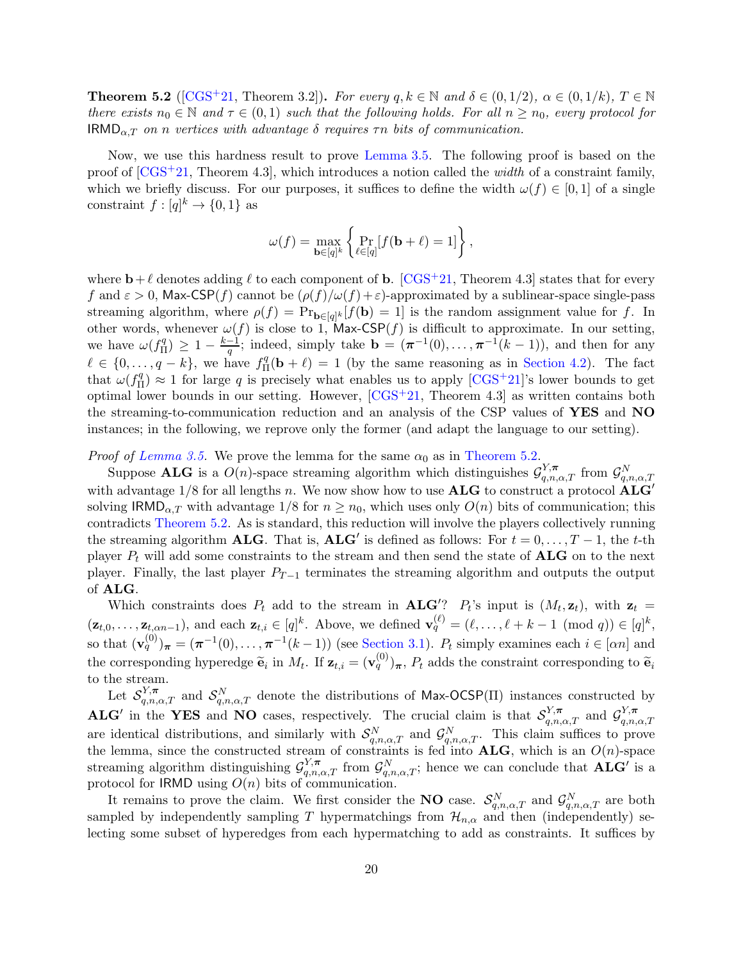<span id="page-19-0"></span>**Theorem 5.2** ([\[CGS](#page-20-5)+21, Theorem 3.2]). For every  $q, k \in \mathbb{N}$  and  $\delta \in (0, 1/2)$ ,  $\alpha \in (0, 1/k)$ ,  $T \in \mathbb{N}$ there exists  $n_0 \in \mathbb{N}$  and  $\tau \in (0,1)$  such that the following holds. For all  $n \geq n_0$ , every protocol for  $\mathsf{IRMD}_{\alpha,T}$  on n vertices with advantage  $\delta$  requires  $\tau n$  bits of communication.

Now, we use this hardness result to prove [Lemma 3.5.](#page-11-2) The following proof is based on the proof of  $[\text{CGS}^+21, \text{ Theorem 4.3}]$ , which introduces a notion called the *width* of a constraint family, which we briefly discuss. For our purposes, it suffices to define the width  $\omega(f) \in [0,1]$  of a single constraint  $f: [q]^k \to \{0, 1\}$  as

$$
\omega(f) = \max_{\mathbf{b} \in [q]^k} \left\{ \Pr_{\ell \in [q]} [f(\mathbf{b} + \ell) = 1] \right\},\,
$$

where  $\mathbf{b}+\ell$  denotes adding  $\ell$  to each component of **b**. [\[CGS](#page-20-5)<sup>+</sup>21, Theorem 4.3] states that for every f and  $\varepsilon > 0$ , Max-CSP(f) cannot be  $(\rho(f)/\omega(f)+\varepsilon)$ -approximated by a sublinear-space single-pass streaming algorithm, where  $\rho(f) = Pr_{\mathbf{b} \in [q]^k}[f(\mathbf{b}) = 1]$  is the random assignment value for f. In other words, whenever  $\omega(f)$  is close to 1, Max-CSP $(f)$  is difficult to approximate. In our setting, we have  $\omega(f_{\Pi}^q)$  $\binom{q}{\Pi} \geq 1 - \frac{k-1}{q}$  $\frac{-1}{q}$ ; indeed, simply take  $\mathbf{b} = (\pi^{-1}(0), \dots, \pi^{-1}(k-1))$ , and then for any  $\ell \in \{0, \ldots, q-k\},\$  we have  $f_{\Pi}^q$  $I_{\Pi}^{q}(\mathbf{b} + \ell) = 1$  (by the same reasoning as in [Section 4.2\)](#page-12-2). The fact that  $\omega(f_{\Pi}^q)$  $\binom{q}{\Pi} \approx 1$  for large q is precisely what enables us to apply  $\left[\text{CGS}^+\text{21}\right]$ 's lower bounds to get optimal lower bounds in our setting. However,  $[CGS^+21, Theorem 4.3]$  as written contains both the streaming-to-communication reduction and an analysis of the CSP values of YES and NO instances; in the following, we reprove only the former (and adapt the language to our setting).

*Proof of [Lemma 3.5.](#page-11-2)* We prove the lemma for the same  $\alpha_0$  as in [Theorem 5.2.](#page-19-0)

Suppose **ALG** is a  $O(n)$ -space streaming algorithm which distinguishes  $\mathcal{G}_{q,n,\alpha,T}^{Y,\pi}$  from  $\mathcal{G}_{q,n,\alpha,T}^{N}$ with advantage  $1/8$  for all lengths n. We now show how to use  $\mathbf{ALG}$  to construct a protocol  $\mathbf{ALG}'$ solving  $\text{IRMD}_{\alpha,T}$  with advantage  $1/8$  for  $n \geq n_0$ , which uses only  $O(n)$  bits of communication; this contradicts [Theorem 5.2.](#page-19-0) As is standard, this reduction will involve the players collectively running the streaming algorithm **ALG**. That is, **ALG'** is defined as follows: For  $t = 0, ..., T - 1$ , the t-th player  $P_t$  will add some constraints to the stream and then send the state of  $\mathbf{ALG}$  on to the next player. Finally, the last player  $P_{T-1}$  terminates the streaming algorithm and outputs the output of ALG.

Which constraints does  $P_t$  add to the stream in **ALG'**?  $P_t$ 's input is  $(M_t, \mathbf{z}_t)$ , with  $\mathbf{z}_t =$  $(\mathbf{z}_{t,0},\ldots,\mathbf{z}_{t,\alpha n-1}),$  and each  $\mathbf{z}_{t,i} \in [q]^k$ . Above, we defined  $\mathbf{v}_q^{(\ell)} = (\ell,\ldots,\ell+k-1 \pmod{q}) \in [q]^k$ , so that  $(\mathbf{v}_q^{(0)})_{\boldsymbol{\pi}} = (\boldsymbol{\pi}^{-1}(0), \ldots, \boldsymbol{\pi}^{-1}(k-1))$  (see [Section 3.1\)](#page-8-3).  $P_t$  simply examines each  $i \in [\alpha n]$  and the corresponding hyperedge  $\tilde{\mathbf{e}}_i$  in  $M_t$ . If  $\mathbf{z}_{t,i} = (\mathbf{v}_q^{(0)})_{\boldsymbol{\pi}}, P_t$  adds the constraint corresponding to  $\tilde{\mathbf{e}}_i$ to the stream.

Let  $S_{q,n,\alpha,T}^{Y,\pi}$  and  $S_{q,n,\alpha,T}^{N}$  denote the distributions of Max-OCSP(II) instances constructed by **ALG'** in the YES and NO cases, respectively. The crucial claim is that  $\mathcal{S}_{q,n,\alpha,T}^{\gamma,\pi}$  and  $\mathcal{G}_{q,n}^{\gamma,\pi}$  $_{q,n,\alpha,T}$ are identical distributions, and similarly with  $S_{q,n,\alpha,T}^N$  and  $\mathcal{G}_{q,n,\alpha,T}^N$ . This claim suffices to prove the lemma, since the constructed stream of constraints is fed into  $\mathbf{ALG}$ , which is an  $O(n)$ -space streaming algorithm distinguishing  $\mathcal{G}_{q,n,\alpha,T}^{Y,\pi}$  from  $\mathcal{G}_{q,n,\alpha,T}^{N}$ ; hence we can conclude that  $\mathbf{ALG}'$  is a protocol for IRMD using  $O(n)$  bits of communication.

It remains to prove the claim. We first consider the **NO** case.  $\mathcal{S}_{q,n,\alpha,T}^N$  and  $\mathcal{G}_{q,n,\alpha,T}^N$  are both sampled by independently sampling T hypermatchings from  $\mathcal{H}_{n,\alpha}$  and then (independently) selecting some subset of hyperedges from each hypermatching to add as constraints. It suffices by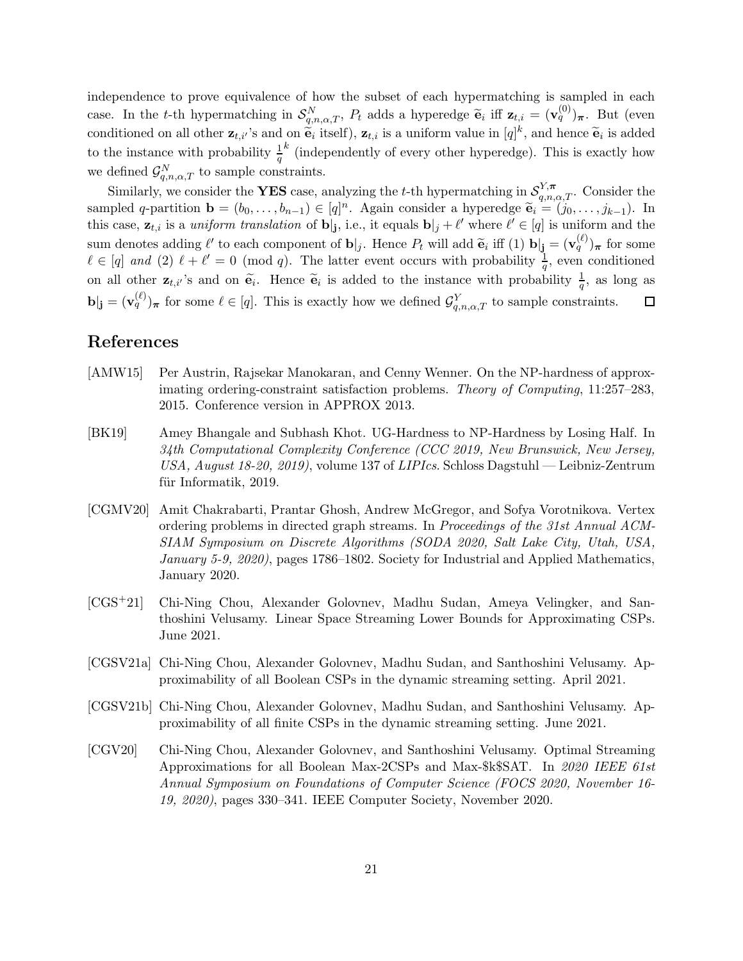independence to prove equivalence of how the subset of each hypermatching is sampled in each case. In the t-th hypermatching in  $\mathcal{S}_{q,n,\alpha,T}^N$ ,  $P_t$  adds a hyperedge  $\tilde{\mathbf{e}}_i$  iff  $\mathbf{z}_{t,i} = (\mathbf{v}_q^{(0)})_{\boldsymbol{\pi}}$ . But (even conditioned on all other  $\mathbf{z}_{t,i'}$ 's and on  $\widetilde{\mathbf{e}}_i$  itself),  $\mathbf{z}_{t,i}$  is a uniform value in  $[q]^k$ , and hence  $\widetilde{\mathbf{e}}_i$  is added to the instance with probability  $\frac{1}{q}$  $k$  (independently of every other hyperedge). This is exactly how we defined  $\mathcal{G}_{q,n,\alpha,T}^{N}$  to sample constraints.

Similarly, we consider the **YES** case, analyzing the t-th hypermatching in  $\mathcal{S}_{q,n,\alpha,T}^{Y,\pi}$ . Consider the sampled q-partition  $\mathbf{b} = (b_0, \ldots, b_{n-1}) \in [q]^n$ . Again consider a hyperedge  $\widetilde{\mathbf{e}}_i = (j_0, \ldots, j_{k-1})$ . In this case,  $\mathbf{z}_{t,i}$  is a *uniform translation* of  $\mathbf{b}|_{j}$ , i.e., it equals  $\mathbf{b}|_{j} + \ell'$  where  $\ell' \in [q]$  is uniform and the sum denotes adding  $\ell'$  to each component of  $\mathbf{b}|_j$ . Hence  $P_t$  will add  $\widetilde{\mathbf{e}}_i$  iff  $(1)$   $\mathbf{b}|_j = (\mathbf{v}_q^{(\ell)})_{\pi}$  for some  $\ell \in [q]$  and (2)  $\ell + \ell' = 0 \pmod{q}$ . The latter event occurs with probability  $\frac{1}{q}$ , even conditioned on all other  $\mathbf{z}_{t,i'}$ 's and on  $\tilde{\mathbf{e}}_i$ . Hence  $\tilde{\mathbf{e}}_i$  is added to the instance with probability  $\frac{1}{q}$ , as long as  $\mathbf{b}|_{\mathbf{j}} = (\mathbf{v}_q^{(\ell)})_{\boldsymbol{\pi}}$  for some  $\ell \in [q]$ . This is exactly how we defined  $\mathcal{G}_{q,n,\alpha,T}^Y$  to sample constraints.  $\Box$ 

# References

- <span id="page-20-0"></span>[AMW15] Per Austrin, Rajsekar Manokaran, and Cenny Wenner. On the NP-hardness of approximating ordering-constraint satisfaction problems. Theory of Computing, 11:257–283, 2015. Conference version in APPROX 2013.
- <span id="page-20-1"></span>[BK19] Amey Bhangale and Subhash Khot. UG-Hardness to NP-Hardness by Losing Half. In 34th Computational Complexity Conference (CCC 2019, New Brunswick, New Jersey, USA, August 18-20, 2019), volume 137 of LIPIcs. Schloss Dagstuhl — Leibniz-Zentrum für Informatik, 2019.
- <span id="page-20-6"></span>[CGMV20] Amit Chakrabarti, Prantar Ghosh, Andrew McGregor, and Sofya Vorotnikova. Vertex ordering problems in directed graph streams. In Proceedings of the 31st Annual ACM-SIAM Symposium on Discrete Algorithms (SODA 2020, Salt Lake City, Utah, USA, January 5-9, 2020), pages 1786–1802. Society for Industrial and Applied Mathematics, January 2020.
- <span id="page-20-5"></span>[CGS+21] Chi-Ning Chou, Alexander Golovnev, Madhu Sudan, Ameya Velingker, and Santhoshini Velusamy. Linear Space Streaming Lower Bounds for Approximating CSPs. June 2021.
- <span id="page-20-3"></span>[CGSV21a] Chi-Ning Chou, Alexander Golovnev, Madhu Sudan, and Santhoshini Velusamy. Approximability of all Boolean CSPs in the dynamic streaming setting. April 2021.
- <span id="page-20-4"></span>[CGSV21b] Chi-Ning Chou, Alexander Golovnev, Madhu Sudan, and Santhoshini Velusamy. Approximability of all finite CSPs in the dynamic streaming setting. June 2021.
- <span id="page-20-2"></span>[CGV20] Chi-Ning Chou, Alexander Golovnev, and Santhoshini Velusamy. Optimal Streaming Approximations for all Boolean Max-2CSPs and Max-\$k\$SAT. In 2020 IEEE 61st Annual Symposium on Foundations of Computer Science (FOCS 2020, November 16- 19, 2020), pages 330–341. IEEE Computer Society, November 2020.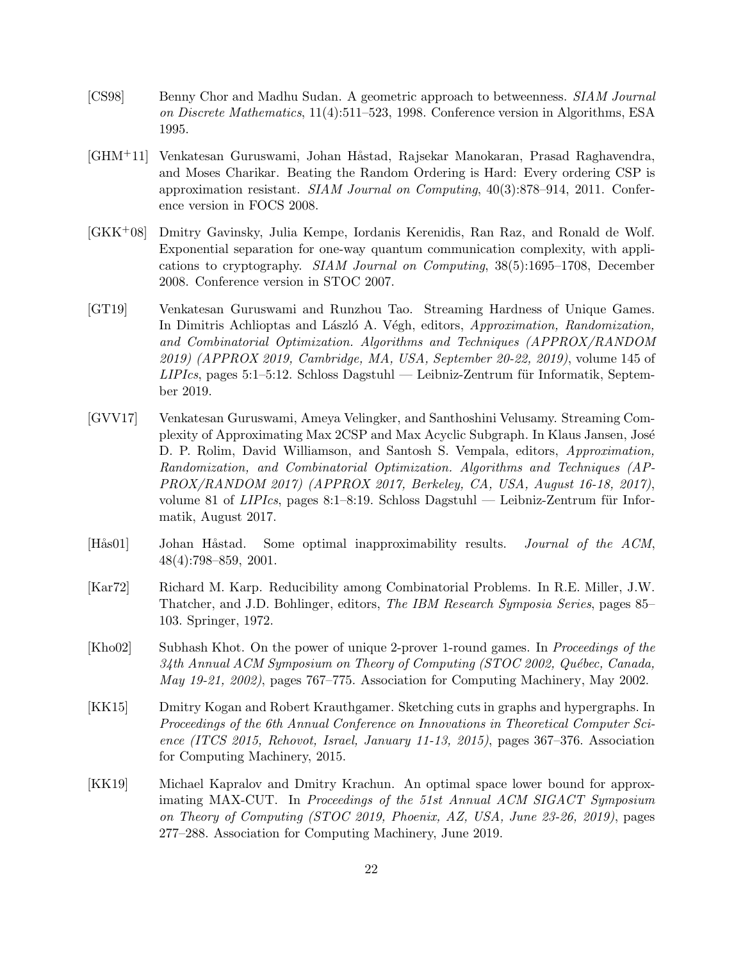- <span id="page-21-2"></span>[CS98] Benny Chor and Madhu Sudan. A geometric approach to betweenness. SIAM Journal on Discrete Mathematics, 11(4):511–523, 1998. Conference version in Algorithms, ESA 1995.
- <span id="page-21-0"></span>[GHM<sup>+</sup>11] Venkatesan Guruswami, Johan Håstad, Rajsekar Manokaran, Prasad Raghavendra, and Moses Charikar. Beating the Random Ordering is Hard: Every ordering CSP is approximation resistant. SIAM Journal on Computing, 40(3):878–914, 2011. Conference version in FOCS 2008.
- <span id="page-21-9"></span>[GKK+08] Dmitry Gavinsky, Julia Kempe, Iordanis Kerenidis, Ran Raz, and Ronald de Wolf. Exponential separation for one-way quantum communication complexity, with applications to cryptography. SIAM Journal on Computing, 38(5):1695–1708, December 2008. Conference version in STOC 2007.
- <span id="page-21-7"></span>[GT19] Venkatesan Guruswami and Runzhou Tao. Streaming Hardness of Unique Games. In Dimitris Achlioptas and László A. Végh, editors, Approximation, Randomization, and Combinatorial Optimization. Algorithms and Techniques (APPROX/RANDOM 2019) (APPROX 2019, Cambridge, MA, USA, September 20-22, 2019), volume 145 of  $LIPIcs$ , pages 5:1–5:12. Schloss Dagstuhl — Leibniz-Zentrum für Informatik, September 2019.
- <span id="page-21-6"></span>[GVV17] Venkatesan Guruswami, Ameya Velingker, and Santhoshini Velusamy. Streaming Complexity of Approximating Max 2CSP and Max Acyclic Subgraph. In Klaus Jansen, Jos´e D. P. Rolim, David Williamson, and Santosh S. Vempala, editors, Approximation, Randomization, and Combinatorial Optimization. Algorithms and Techniques (AP-PROX/RANDOM 2017) (APPROX 2017, Berkeley, CA, USA, August 16-18, 2017), volume 81 of  $LIPIs$ , pages 8:1–8:19. Schloss Dagstuhl — Leibniz-Zentrum für Informatik, August 2017.
- <span id="page-21-3"></span>[Hås01] Johan Håstad. Some optimal inapproximability results. *Journal of the ACM*, 48(4):798–859, 2001.
- <span id="page-21-1"></span>[Kar72] Richard M. Karp. Reducibility among Combinatorial Problems. In R.E. Miller, J.W. Thatcher, and J.D. Bohlinger, editors, The IBM Research Symposia Series, pages 85– 103. Springer, 1972.
- <span id="page-21-4"></span>[Kho02] Subhash Khot. On the power of unique 2-prover 1-round games. In Proceedings of the  $34th$  Annual ACM Symposium on Theory of Computing (STOC 2002, Québec, Canada, May 19-21, 2002), pages 767–775. Association for Computing Machinery, May 2002.
- <span id="page-21-5"></span>[KK15] Dmitry Kogan and Robert Krauthgamer. Sketching cuts in graphs and hypergraphs. In Proceedings of the 6th Annual Conference on Innovations in Theoretical Computer Science (ITCS 2015, Rehovot, Israel, January 11-13, 2015), pages 367–376. Association for Computing Machinery, 2015.
- <span id="page-21-8"></span>[KK19] Michael Kapralov and Dmitry Krachun. An optimal space lower bound for approximating MAX-CUT. In Proceedings of the 51st Annual ACM SIGACT Symposium on Theory of Computing (STOC 2019, Phoenix, AZ, USA, June 23-26, 2019), pages 277–288. Association for Computing Machinery, June 2019.